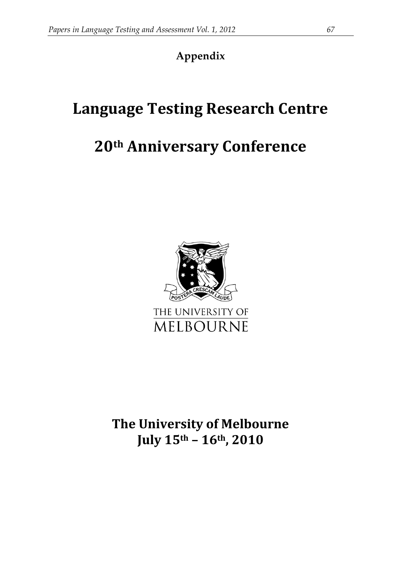# **Appendix**

# **Language Testing Research Centre**

# **20th Anniversary Conference**



**The University of Melbourne July 15th – 16th, 2010**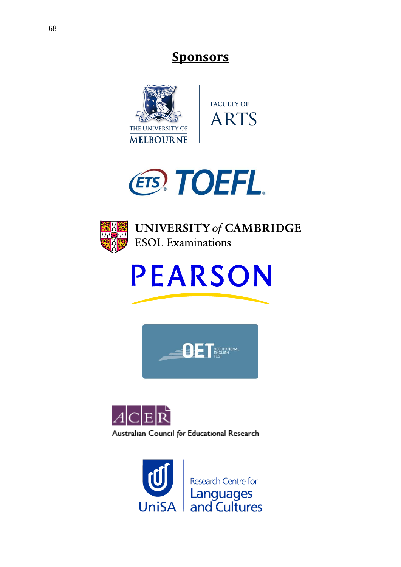# **Sponsors**







**UNIVERSITY of CAMBRIDGE ESOL** Examinations







**Research Centre for** Languages<br>and Cultures **UniSA**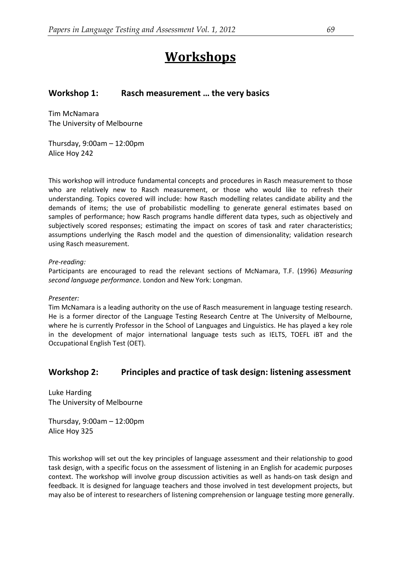# **Workshops**

### **Workshop 1: Rasch measurement … the very basics**

Tim McNamara The University of Melbourne

Thursday, 9:00am – 12:00pm Alice Hoy 242

This workshop will introduce fundamental concepts and procedures in Rasch measurement to those who are relatively new to Rasch measurement, or those who would like to refresh their understanding. Topics covered will include: how Rasch modelling relates candidate ability and the demands of items; the use of probabilistic modelling to generate general estimates based on samples of performance; how Rasch programs handle different data types, such as objectively and subjectively scored responses; estimating the impact on scores of task and rater characteristics; assumptions underlying the Rasch model and the question of dimensionality; validation research using Rasch measurement.

#### *Pre-reading:*

Participants are encouraged to read the relevant sections of McNamara, T.F. (1996) *Measuring second language performance*. London and New York: Longman.

#### *Presenter:*

Tim McNamara is a leading authority on the use of Rasch measurement in language testing research. He is a former director of the Language Testing Research Centre at The University of Melbourne, where he is currently Professor in the School of Languages and Linguistics. He has played a key role in the development of major international language tests such as IELTS, TOEFL iBT and the Occupational English Test (OET).

#### **Workshop 2: Principles and practice of task design: listening assessment**

Luke Harding The University of Melbourne

Thursday, 9:00am – 12:00pm Alice Hoy 325

This workshop will set out the key principles of language assessment and their relationship to good task design, with a specific focus on the assessment of listening in an English for academic purposes context. The workshop will involve group discussion activities as well as hands-on task design and feedback. It is designed for language teachers and those involved in test development projects, but may also be of interest to researchers of listening comprehension or language testing more generally.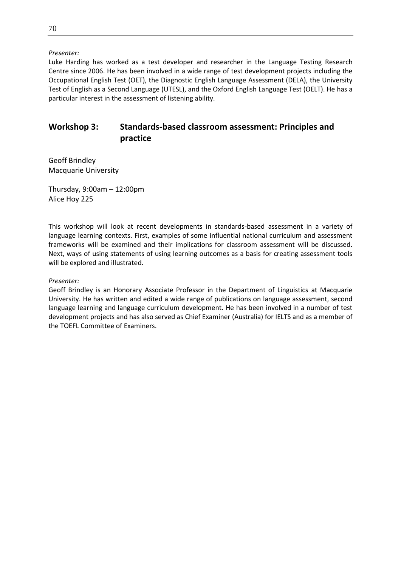#### *Presenter:*

Luke Harding has worked as a test developer and researcher in the Language Testing Research Centre since 2006. He has been involved in a wide range of test development projects including the Occupational English Test (OET), the Diagnostic English Language Assessment (DELA), the University Test of English as a Second Language (UTESL), and the Oxford English Language Test (OELT). He has a particular interest in the assessment of listening ability.

# **Workshop 3: Standards-based classroom assessment: Principles and practice**

Geoff Brindley Macquarie University

Thursday, 9:00am – 12:00pm Alice Hoy 225

This workshop will look at recent developments in standards-based assessment in a variety of language learning contexts. First, examples of some influential national curriculum and assessment frameworks will be examined and their implications for classroom assessment will be discussed. Next, ways of using statements of using learning outcomes as a basis for creating assessment tools will be explored and illustrated.

#### *Presenter:*

Geoff Brindley is an Honorary Associate Professor in the Department of Linguistics at Macquarie University. He has written and edited a wide range of publications on language assessment, second language learning and language curriculum development. He has been involved in a number of test development projects and has also served as Chief Examiner (Australia) for IELTS and as a member of the TOEFL Committee of Examiners.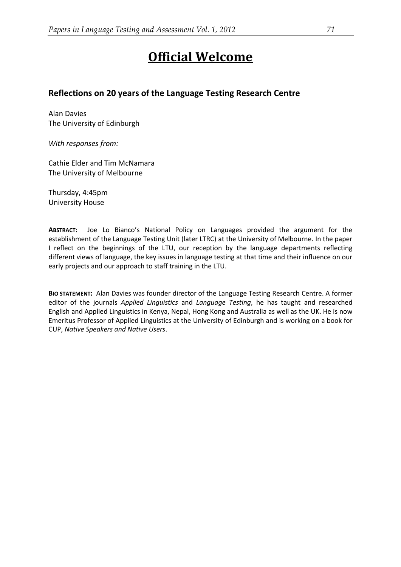# **Official Welcome**

### **Reflections on 20 years of the Language Testing Research Centre**

Alan Davies The University of Edinburgh

*With responses from:*

Cathie Elder and Tim McNamara The University of Melbourne

Thursday, 4:45pm University House

**ABSTRACT:** Joe Lo Bianco's National Policy on Languages provided the argument for the establishment of the Language Testing Unit (later LTRC) at the University of Melbourne. In the paper I reflect on the beginnings of the LTU, our reception by the language departments reflecting different views of language, the key issues in language testing at that time and their influence on our early projects and our approach to staff training in the LTU.

**BIO STATEMENT:** Alan Davies was founder director of the Language Testing Research Centre. A former editor of the journals *Applied Linguistics* and *Language Testing*, he has taught and researched English and Applied Linguistics in Kenya, Nepal, Hong Kong and Australia as well as the UK. He is now Emeritus Professor of Applied Linguistics at the University of Edinburgh and is working on a book for CUP, *Native Speakers and Native Users*.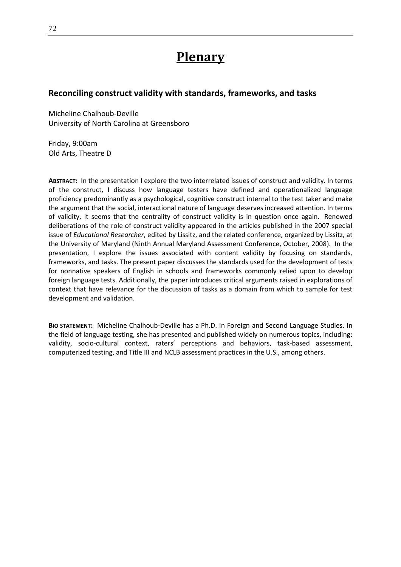# **Plenary**

### **Reconciling construct validity with standards, frameworks, and tasks**

Micheline Chalhoub-Deville University of North Carolina at Greensboro

Friday, 9:00am Old Arts, Theatre D

**ABSTRACT:** In the presentation I explore the two interrelated issues of construct and validity. In terms of the construct, I discuss how language testers have defined and operationalized language proficiency predominantly as a psychological, cognitive construct internal to the test taker and make the argument that the social, interactional nature of language deserves increased attention. In terms of validity, it seems that the centrality of construct validity is in question once again. Renewed deliberations of the role of construct validity appeared in the articles published in the 2007 special issue of *Educational Researcher*, edited by Lissitz, and the related conference, organized by Lissitz, at the University of Maryland (Ninth Annual Maryland Assessment Conference, October, 2008). In the presentation, I explore the issues associated with content validity by focusing on standards, frameworks, and tasks. The present paper discusses the standards used for the development of tests for nonnative speakers of English in schools and frameworks commonly relied upon to develop foreign language tests. Additionally, the paper introduces critical arguments raised in explorations of context that have relevance for the discussion of tasks as a domain from which to sample for test development and validation.

**BIO STATEMENT:** Micheline Chalhoub-Deville has a Ph.D. in Foreign and Second Language Studies. In the field of language testing, she has presented and published widely on numerous topics, including: validity, socio-cultural context, raters' perceptions and behaviors, task-based assessment, computerized testing, and Title III and NCLB assessment practices in the U.S., among others.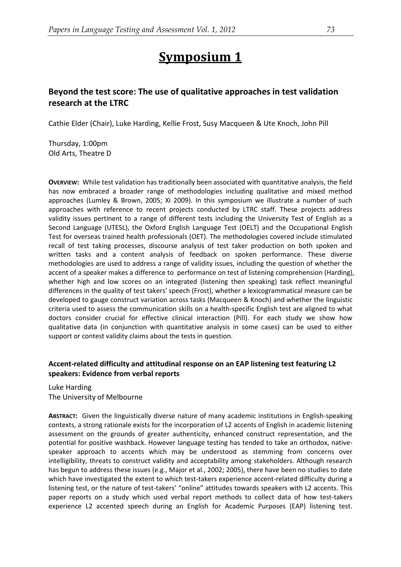# **Symposium 1**

# **Beyond the test score: The use of qualitative approaches in test validation research at the LTRC**

Cathie Elder (Chair), Luke Harding, Kellie Frost, Susy Macqueen & Ute Knoch, John Pill

Thursday, 1:00pm Old Arts, Theatre D

**OVERVIEW:** While test validation has traditionally been associated with quantitative analysis, the field has now embraced a broader range of methodologies including qualitative and mixed method approaches (Lumley & Brown, 2005; Xi 2009). In this symposium we illustrate a number of such approaches with reference to recent projects conducted by LTRC staff. These projects address validity issues pertinent to a range of different tests including the University Test of English as a Second Language (UTESL), the Oxford English Language Test (OELT) and the Occupational English Test for overseas trained health professionals (OET). The methodologies covered include stimulated recall of test taking processes, discourse analysis of test taker production on both spoken and written tasks and a content analysis of feedback on spoken performance. These diverse methodologies are used to address a range of validity issues, including the question of whether the accent of a speaker makes a difference to performance on test of listening comprehension (Harding), whether high and low scores on an integrated (listening then speaking) task reflect meaningful differences in the quality of test takers' speech (Frost), whether a lexicogrammatical measure can be developed to gauge construct variation across tasks (Macqueen & Knoch) and whether the linguistic criteria used to assess the communication skills on a health-specific English test are aligned to what doctors consider crucial for effective clinical interaction (Pill). For each study we show how qualitative data (in conjunction with quantitative analysis in some cases) can be used to either support or contest validity claims about the tests in question.

### **Accent-related difficulty and attitudinal response on an EAP listening test featuring L2 speakers: Evidence from verbal reports**

Luke Harding The University of Melbourne

**ABSTRACT:** Given the linguistically diverse nature of many academic institutions in English-speaking contexts, a strong rationale exists for the incorporation of L2 accents of English in academic listening assessment on the grounds of greater authenticity, enhanced construct representation, and the potential for positive washback. However language testing has tended to take an orthodox, nativespeaker approach to accents which may be understood as stemming from concerns over intelligibility, threats to construct validity and acceptability among stakeholders. Although research has begun to address these issues (e.g., Major et al., 2002; 2005), there have been no studies to date which have investigated the extent to which test-takers experience accent-related difficulty during a listening test, or the nature of test-takers' "online" attitudes towards speakers with L2 accents. This paper reports on a study which used verbal report methods to collect data of how test-takers experience L2 accented speech during an English for Academic Purposes (EAP) listening test.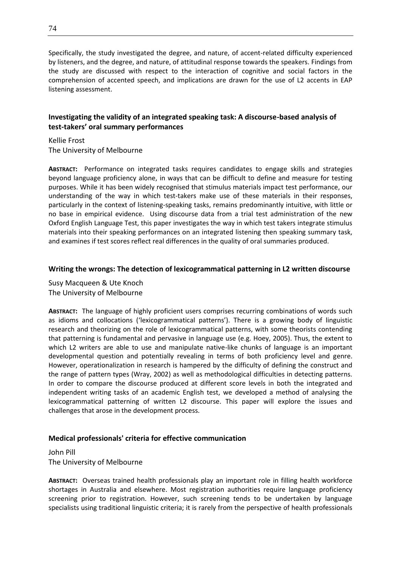Specifically, the study investigated the degree, and nature, of accent-related difficulty experienced by listeners, and the degree, and nature, of attitudinal response towards the speakers. Findings from the study are discussed with respect to the interaction of cognitive and social factors in the comprehension of accented speech, and implications are drawn for the use of L2 accents in EAP listening assessment.

#### **Investigating the validity of an integrated speaking task: A discourse-based analysis of test-takers' oral summary performances**

Kellie Frost The University of Melbourne

**ABSTRACT:** Performance on integrated tasks requires candidates to engage skills and strategies beyond language proficiency alone, in ways that can be difficult to define and measure for testing purposes. While it has been widely recognised that stimulus materials impact test performance, our understanding of the way in which test-takers make use of these materials in their responses, particularly in the context of listening-speaking tasks, remains predominantly intuitive, with little or no base in empirical evidence. Using discourse data from a trial test administration of the new Oxford English Language Test, this paper investigates the way in which test takers integrate stimulus materials into their speaking performances on an integrated listening then speaking summary task, and examines if test scores reflect real differences in the quality of oral summaries produced.

#### **Writing the wrongs: The detection of lexicogrammatical patterning in L2 written discourse**

Susy Macqueen & Ute Knoch The University of Melbourne

**ABSTRACT:** The language of highly proficient users comprises recurring combinations of words such as idioms and collocations ('lexicogrammatical patterns'). There is a growing body of linguistic research and theorizing on the role of lexicogrammatical patterns, with some theorists contending that patterning is fundamental and pervasive in language use (e.g. Hoey, 2005). Thus, the extent to which L2 writers are able to use and manipulate native-like chunks of language is an important developmental question and potentially revealing in terms of both proficiency level and genre. However, operationalization in research is hampered by the difficulty of defining the construct and the range of pattern types (Wray, 2002) as well as methodological difficulties in detecting patterns. In order to compare the discourse produced at different score levels in both the integrated and independent writing tasks of an academic English test, we developed a method of analysing the lexicogrammatical patterning of written L2 discourse. This paper will explore the issues and challenges that arose in the development process.

#### **Medical professionals' criteria for effective communication**

John Pill The University of Melbourne

**ABSTRACT:** Overseas trained health professionals play an important role in filling health workforce shortages in Australia and elsewhere. Most registration authorities require language proficiency screening prior to registration. However, such screening tends to be undertaken by language specialists using traditional linguistic criteria; it is rarely from the perspective of health professionals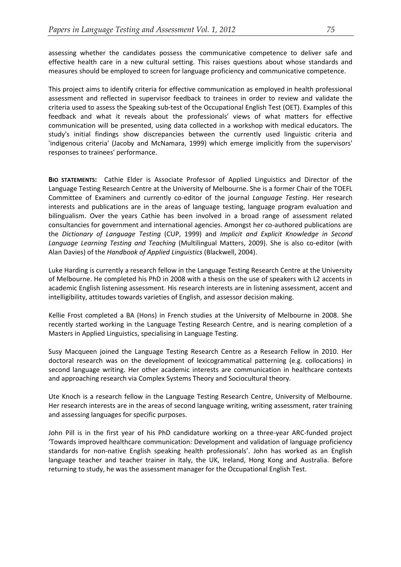assessing whether the candidates possess the communicative competence to deliver safe and effective health care in a new cultural setting. This raises questions about whose standards and measures should be employed to screen for language proficiency and communicative competence.

This project aims to identify criteria for effective communication as employed in health professional assessment and reflected in supervisor feedback to trainees in order to review and validate the criteria used to assess the Speaking sub-test of the Occupational English Test (OET). Examples of this feedback and what it reveals about the professionals' views of what matters for effective communication will be presented, using data collected in a workshop with medical educators. The study's initial findings show discrepancies between the currently used linguistic criteria and 'indigenous criteria' (Jacoby and McNamara, 1999) which emerge implicitly from the supervisors' responses to trainees' performance.

**BIO STATEMENTS:** Cathie Elder is Associate Professor of Applied Linguistics and Director of the Language Testing Research Centre at the University of Melbourne. She is a former Chair of the TOEFL Committee of Examiners and currently co-editor of the journal *Language Testing*. Her research interests and publications are in the areas of language testing, language program evaluation and bilingualism. Over the years Cathie has been involved in a broad range of assessment related consultancies for government and international agencies. Amongst her co-authored publications are the *Dictionary of Language Testing* (CUP, 1999) and *Implicit and Explicit Knowledge in Second Language Learning Testing and Teaching* (Multilingual Matters, 2009). She is also co-editor (with Alan Davies) of the *Handbook of Applied Linguistics* (Blackwell, 2004).

Luke Harding is currently a research fellow in the Language Testing Research Centre at the University of Melbourne. He completed his PhD in 2008 with a thesis on the use of speakers with L2 accents in academic English listening assessment. His research interests are in listening assessment, accent and intelligibility, attitudes towards varieties of English, and assessor decision making.

Kellie Frost completed a BA (Hons) in French studies at the University of Melbourne in 2008. She recently started working in the Language Testing Research Centre, and is nearing completion of a Masters in Applied Linguistics, specialising in Language Testing.

Susy Macqueen joined the Language Testing Research Centre as a Research Fellow in 2010. Her doctoral research was on the development of lexicogrammatical patterning (e.g. collocations) in second language writing. Her other academic interests are communication in healthcare contexts and approaching research via Complex Systems Theory and Sociocultural theory.

Ute Knoch is a research fellow in the Language Testing Research Centre, University of Melbourne. Her research interests are in the areas of second language writing, writing assessment, rater training and assessing languages for specific purposes.

John Pill is in the first year of his PhD candidature working on a three-year ARC-funded project 'Towards improved healthcare communication: Development and validation of language proficiency standards for non-native English speaking health professionals'. John has worked as an English language teacher and teacher trainer in Italy, the UK, Ireland, Hong Kong and Australia. Before returning to study, he was the assessment manager for the Occupational English Test.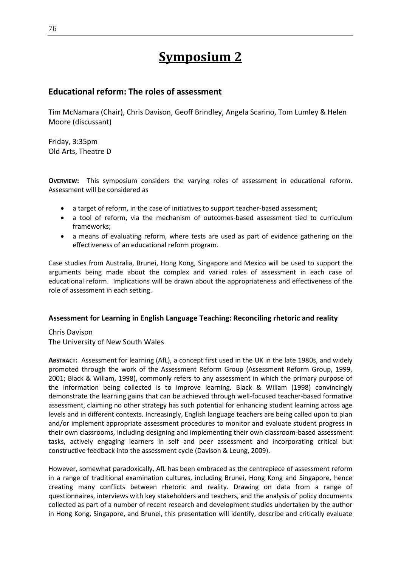# **Symposium 2**

# **Educational reform: The roles of assessment**

Tim McNamara (Chair), Chris Davison, Geoff Brindley, Angela Scarino, Tom Lumley & Helen Moore (discussant)

Friday, 3:35pm Old Arts, Theatre D

**OVERVIEW:** This symposium considers the varying roles of assessment in educational reform. Assessment will be considered as

- a target of reform, in the case of initiatives to support teacher-based assessment;
- a tool of reform, via the mechanism of outcomes-based assessment tied to curriculum frameworks;
- a means of evaluating reform, where tests are used as part of evidence gathering on the effectiveness of an educational reform program.

Case studies from Australia, Brunei, Hong Kong, Singapore and Mexico will be used to support the arguments being made about the complex and varied roles of assessment in each case of educational reform. Implications will be drawn about the appropriateness and effectiveness of the role of assessment in each setting.

#### **Assessment for Learning in English Language Teaching: Reconciling rhetoric and reality**

Chris Davison The University of New South Wales

**ABSTRACT:** Assessment for learning (AfL), a concept first used in the UK in the late 1980s, and widely promoted through the work of the Assessment Reform Group (Assessment Reform Group, 1999, 2001; Black & Wiliam, 1998), commonly refers to any assessment in which the primary purpose of the information being collected is to improve learning. Black & Wiliam (1998) convincingly demonstrate the learning gains that can be achieved through well-focused teacher-based formative assessment, claiming no other strategy has such potential for enhancing student learning across age levels and in different contexts. Increasingly, English language teachers are being called upon to plan and/or implement appropriate assessment procedures to monitor and evaluate student progress in their own classrooms, including designing and implementing their own classroom-based assessment tasks, actively engaging learners in self and peer assessment and incorporating critical but constructive feedback into the assessment cycle (Davison & Leung, 2009).

However, somewhat paradoxically, AfL has been embraced as the centrepiece of assessment reform in a range of traditional examination cultures, including Brunei, Hong Kong and Singapore, hence creating many conflicts between rhetoric and reality. Drawing on data from a range of questionnaires, interviews with key stakeholders and teachers, and the analysis of policy documents collected as part of a number of recent research and development studies undertaken by the author in Hong Kong, Singapore, and Brunei, this presentation will identify, describe and critically evaluate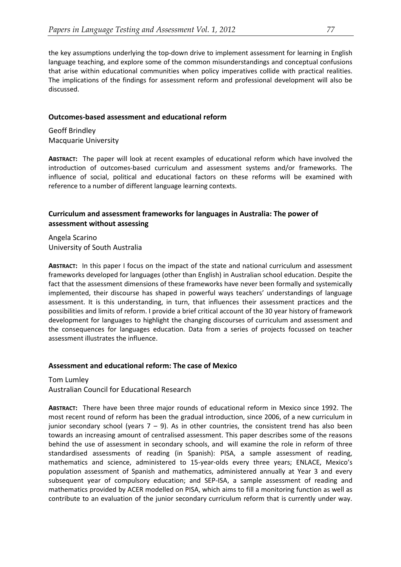the key assumptions underlying the top-down drive to implement assessment for learning in English language teaching, and explore some of the common misunderstandings and conceptual confusions that arise within educational communities when policy imperatives collide with practical realities. The implications of the findings for assessment reform and professional development will also be discussed.

#### **Outcomes-based assessment and educational reform**

Geoff Brindley Macquarie University

**ABSTRACT:** The paper will look at recent examples of educational reform which have involved the introduction of outcomes-based curriculum and assessment systems and/or frameworks. The influence of social, political and educational factors on these reforms will be examined with reference to a number of different language learning contexts.

#### **Curriculum and assessment frameworks for languages in Australia: The power of assessment without assessing**

Angela Scarino University of South Australia

**ABSTRACT:** In this paper I focus on the impact of the state and national curriculum and assessment frameworks developed for languages (other than English) in Australian school education. Despite the fact that the assessment dimensions of these frameworks have never been formally and systemically implemented, their discourse has shaped in powerful ways teachers' understandings of language assessment. It is this understanding, in turn, that influences their assessment practices and the possibilities and limits of reform. I provide a brief critical account of the 30 year history of framework development for languages to highlight the changing discourses of curriculum and assessment and the consequences for languages education. Data from a series of projects focussed on teacher assessment illustrates the influence.

#### **Assessment and educational reform: The case of Mexico**

Tom Lumley Australian Council for Educational Research

**ABSTRACT:** There have been three major rounds of educational reform in Mexico since 1992. The most recent round of reform has been the gradual introduction, since 2006, of a new curriculum in junior secondary school (years  $7 - 9$ ). As in other countries, the consistent trend has also been towards an increasing amount of centralised assessment. This paper describes some of the reasons behind the use of assessment in secondary schools, and will examine the role in reform of three standardised assessments of reading (in Spanish): PISA, a sample assessment of reading, mathematics and science, administered to 15-year-olds every three years; ENLACE, Mexico's population assessment of Spanish and mathematics, administered annually at Year 3 and every subsequent year of compulsory education; and SEP-ISA, a sample assessment of reading and mathematics provided by ACER modelled on PISA, which aims to fill a monitoring function as well as contribute to an evaluation of the junior secondary curriculum reform that is currently under way.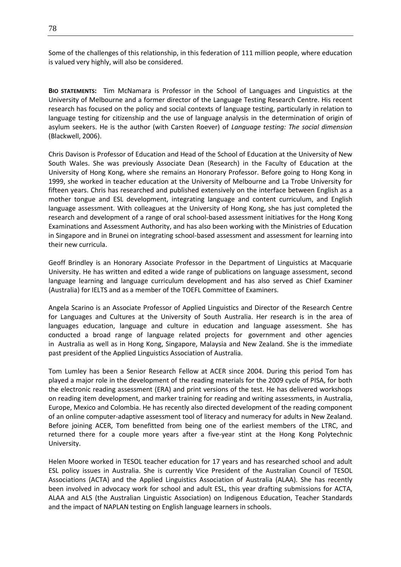Some of the challenges of this relationship, in this federation of 111 million people, where education is valued very highly, will also be considered.

**BIO STATEMENTS:** Tim McNamara is Professor in the School of Languages and Linguistics at the University of Melbourne and a former director of the Language Testing Research Centre. His recent research has focused on the policy and social contexts of language testing, particularly in relation to language testing for citizenship and the use of language analysis in the determination of origin of asylum seekers. He is the author (with Carsten Roever) of *Language testing: The social dimension* (Blackwell, 2006).

Chris Davison is Professor of Education and Head of the School of Education at the University of New South Wales. She was previously Associate Dean (Research) in the Faculty of Education at the University of Hong Kong, where she remains an Honorary Professor. Before going to Hong Kong in 1999, she worked in teacher education at the University of Melbourne and La Trobe University for fifteen years. Chris has researched and published extensively on the interface between English as a mother tongue and ESL development, integrating language and content curriculum, and English language assessment. With colleagues at the University of Hong Kong, she has just completed the research and development of a range of oral school-based assessment initiatives for the Hong Kong Examinations and Assessment Authority, and has also been working with the Ministries of Education in Singapore and in Brunei on integrating school-based assessment and assessment for learning into their new curricula.

Geoff Brindley is an Honorary Associate Professor in the Department of Linguistics at Macquarie University. He has written and edited a wide range of publications on language assessment, second language learning and language curriculum development and has also served as Chief Examiner (Australia) for IELTS and as a member of the TOEFL Committee of Examiners.

Angela Scarino is an Associate Professor of Applied Linguistics and Director of the Research Centre for Languages and Cultures at the University of South Australia. Her research is in the area of languages education, language and culture in education and language assessment. She has conducted a broad range of language related projects for government and other agencies in Australia as well as in Hong Kong, Singapore, Malaysia and New Zealand. She is the immediate past president of the Applied Linguistics Association of Australia.

Tom Lumley has been a Senior Research Fellow at ACER since 2004. During this period Tom has played a major role in the development of the reading materials for the 2009 cycle of PISA, for both the electronic reading assessment (ERA) and print versions of the test. He has delivered workshops on reading item development, and marker training for reading and writing assessments, in Australia, Europe, Mexico and Colombia. He has recently also directed development of the reading component of an online computer-adaptive assessment tool of literacy and numeracy for adults in New Zealand. Before joining ACER, Tom benefitted from being one of the earliest members of the LTRC, and returned there for a couple more years after a five-year stint at the Hong Kong Polytechnic University.

Helen Moore worked in TESOL teacher education for 17 years and has researched school and adult ESL policy issues in Australia. She is currently Vice President of the Australian Council of TESOL Associations (ACTA) and the Applied Linguistics Association of Australia (ALAA). She has recently been involved in advocacy work for school and adult ESL, this year drafting submissions for ACTA, ALAA and ALS (the Australian Linguistic Association) on Indigenous Education, Teacher Standards and the impact of NAPLAN testing on English language learners in schools.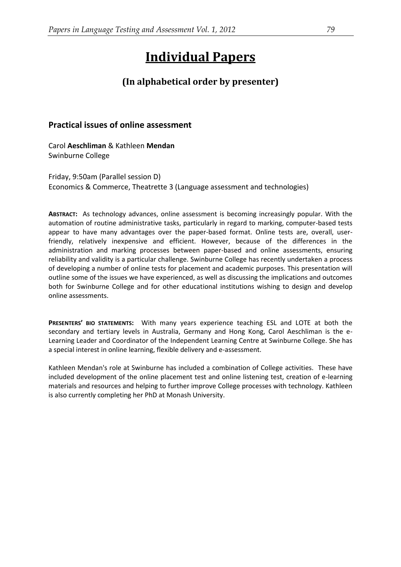# **Individual Papers**

# **(In alphabetical order by presenter)**

### **Practical issues of online assessment**

Carol **Aeschliman** & Kathleen **Mendan** Swinburne College

Friday, 9:50am (Parallel session D) Economics & Commerce, Theatrette 3 (Language assessment and technologies)

**ABSTRACT:** As technology advances, online assessment is becoming increasingly popular. With the automation of routine administrative tasks, particularly in regard to marking, computer-based tests appear to have many advantages over the paper-based format. Online tests are, overall, userfriendly, relatively inexpensive and efficient. However, because of the differences in the administration and marking processes between paper-based and online assessments, ensuring reliability and validity is a particular challenge. Swinburne College has recently undertaken a process of developing a number of online tests for placement and academic purposes. This presentation will outline some of the issues we have experienced, as well as discussing the implications and outcomes both for Swinburne College and for other educational institutions wishing to design and develop online assessments.

**PRESENTERS' BIO STATEMENTS:** With many years experience teaching ESL and LOTE at both the secondary and tertiary levels in Australia, Germany and Hong Kong, Carol Aeschliman is the e-Learning Leader and Coordinator of the Independent Learning Centre at Swinburne College. She has a special interest in online learning, flexible delivery and e-assessment.

Kathleen Mendan's role at Swinburne has included a combination of College activities. These have included development of the online placement test and online listening test, creation of e-learning materials and resources and helping to further improve College processes with technology. Kathleen is also currently completing her PhD at Monash University.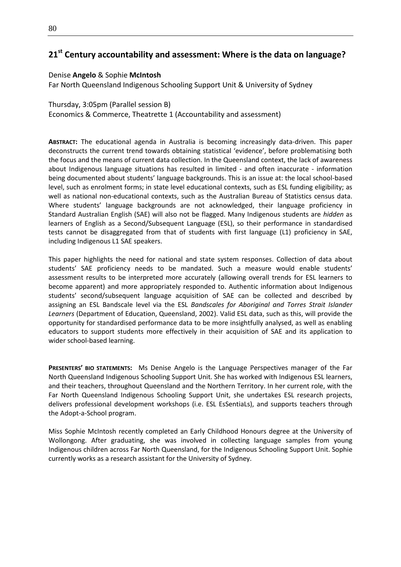# **21st Century accountability and assessment: Where is the data on language?**

#### Denise **Angelo** & Sophie **McIntosh**

Far North Queensland Indigenous Schooling Support Unit & University of Sydney

Thursday, 3:05pm (Parallel session B) Economics & Commerce, Theatrette 1 (Accountability and assessment)

**ABSTRACT:** The educational agenda in Australia is becoming increasingly data-driven. This paper deconstructs the current trend towards obtaining statistical 'evidence', before problematising both the focus and the means of current data collection. In the Queensland context, the lack of awareness about Indigenous language situations has resulted in limited - and often inaccurate - information being documented about students' language backgrounds. This is an issue at: the local school-based level, such as enrolment forms; in state level educational contexts, such as ESL funding eligibility; as well as national non-educational contexts, such as the Australian Bureau of Statistics census data. Where students' language backgrounds are not acknowledged, their language proficiency in Standard Australian English (SAE) will also not be flagged. Many Indigenous students are *hidden* as learners of English as a Second/Subsequent Language (ESL), so their performance in standardised tests cannot be disaggregated from that of students with first language (L1) proficiency in SAE, including Indigenous L1 SAE speakers.

This paper highlights the need for national and state system responses. Collection of data about students' SAE proficiency needs to be mandated. Such a measure would enable students' assessment results to be interpreted more accurately (allowing overall trends for ESL learners to become apparent) and more appropriately responded to. Authentic information about Indigenous students' second/subsequent language acquisition of SAE can be collected and described by assigning an ESL Bandscale level via the ESL *Bandscales for Aboriginal and Torres Strait Islander Learners* (Department of Education, Queensland, 2002). Valid ESL data, such as this, will provide the opportunity for standardised performance data to be more insightfully analysed, as well as enabling educators to support students more effectively in their acquisition of SAE and its application to wider school-based learning.

**PRESENTERS' BIO STATEMENTS:** Ms Denise Angelo is the Language Perspectives manager of the Far North Queensland Indigenous Schooling Support Unit. She has worked with Indigenous ESL learners, and their teachers, throughout Queensland and the Northern Territory. In her current role, with the Far North Queensland Indigenous Schooling Support Unit, she undertakes ESL research projects, delivers professional development workshops (i.e. ESL EsSentiaLs), and supports teachers through the Adopt-a-School program.

Miss Sophie McIntosh recently completed an Early Childhood Honours degree at the University of Wollongong. After graduating, she was involved in collecting language samples from young Indigenous children across Far North Queensland, for the Indigenous Schooling Support Unit. Sophie currently works as a research assistant for the University of Sydney.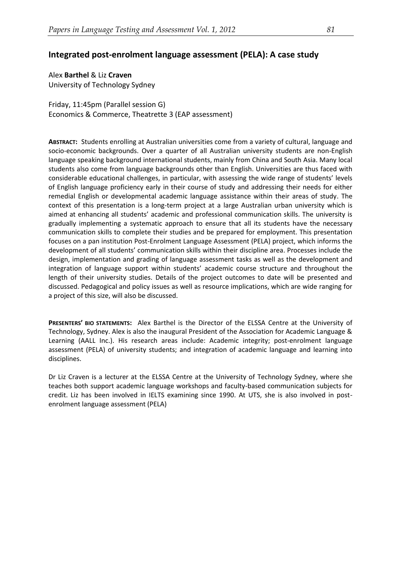### **Integrated post-enrolment language assessment (PELA): A case study**

Alex **Barthel** & Liz **Craven** University of Technology Sydney

Friday, 11:45pm (Parallel session G) Economics & Commerce, Theatrette 3 (EAP assessment)

**ABSTRACT:** Students enrolling at Australian universities come from a variety of cultural, language and socio-economic backgrounds. Over a quarter of all Australian university students are non-English language speaking background international students, mainly from China and South Asia. Many local students also come from language backgrounds other than English. Universities are thus faced with considerable educational challenges, in particular, with assessing the wide range of students' levels of English language proficiency early in their course of study and addressing their needs for either remedial English or developmental academic language assistance within their areas of study. The context of this presentation is a long-term project at a large Australian urban university which is aimed at enhancing all students' academic and professional communication skills. The university is gradually implementing a systematic approach to ensure that all its students have the necessary communication skills to complete their studies and be prepared for employment. This presentation focuses on a pan institution Post-Enrolment Language Assessment (PELA) project, which informs the development of all students' communication skills within their discipline area. Processes include the design, implementation and grading of language assessment tasks as well as the development and integration of language support within students' academic course structure and throughout the length of their university studies. Details of the project outcomes to date will be presented and discussed. Pedagogical and policy issues as well as resource implications, which are wide ranging for a project of this size, will also be discussed.

**PRESENTERS' BIO STATEMENTS:** Alex Barthel is the Director of the ELSSA Centre at the University of Technology, Sydney. Alex is also the inaugural President of the Association for Academic Language & Learning (AALL Inc.). His research areas include: Academic integrity; post-enrolment language assessment (PELA) of university students; and integration of academic language and learning into disciplines.

Dr Liz Craven is a lecturer at the ELSSA Centre at the University of Technology Sydney, where she teaches both support academic language workshops and faculty-based communication subjects for credit. Liz has been involved in IELTS examining since 1990. At UTS, she is also involved in postenrolment language assessment (PELA)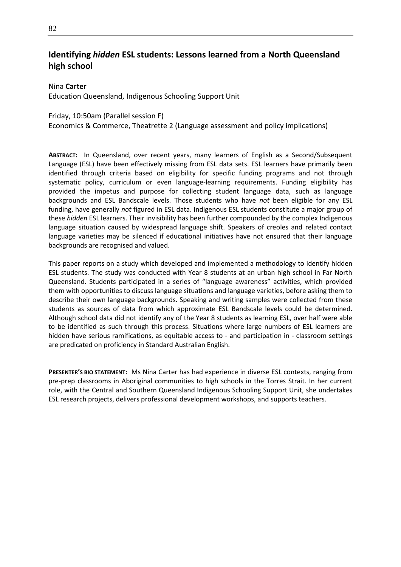# **Identifying** *hidden* **ESL students: Lessons learned from a North Queensland high school**

#### Nina **Carter**

Education Queensland, Indigenous Schooling Support Unit

#### Friday, 10:50am (Parallel session F)

Economics & Commerce, Theatrette 2 (Language assessment and policy implications)

**ABSTRACT:** In Queensland, over recent years, many learners of English as a Second/Subsequent Language (ESL) have been effectively missing from ESL data sets. ESL learners have primarily been identified through criteria based on eligibility for specific funding programs and not through systematic policy, curriculum or even language-learning requirements. Funding eligibility has provided the impetus and purpose for collecting student language data, such as language backgrounds and ESL Bandscale levels. Those students who have *not* been eligible for any ESL funding, have generally *not* figured in ESL data. Indigenous ESL students constitute a major group of these *hidden* ESL learners. Their invisibility has been further compounded by the complex Indigenous language situation caused by widespread language shift. Speakers of creoles and related contact language varieties may be silenced if educational initiatives have not ensured that their language backgrounds are recognised and valued.

This paper reports on a study which developed and implemented a methodology to identify hidden ESL students. The study was conducted with Year 8 students at an urban high school in Far North Queensland. Students participated in a series of "language awareness" activities, which provided them with opportunities to discuss language situations and language varieties, before asking them to describe their own language backgrounds. Speaking and writing samples were collected from these students as sources of data from which approximate ESL Bandscale levels could be determined. Although school data did not identify any of the Year 8 students as learning ESL, over half were able to be identified as such through this process. Situations where large numbers of ESL learners are hidden have serious ramifications, as equitable access to - and participation in - classroom settings are predicated on proficiency in Standard Australian English.

**PRESENTER'S BIO STATEMENT:** Ms Nina Carter has had experience in diverse ESL contexts, ranging from pre-prep classrooms in Aboriginal communities to high schools in the Torres Strait. In her current role, with the Central and Southern Queensland Indigenous Schooling Support Unit, she undertakes ESL research projects, delivers professional development workshops, and supports teachers.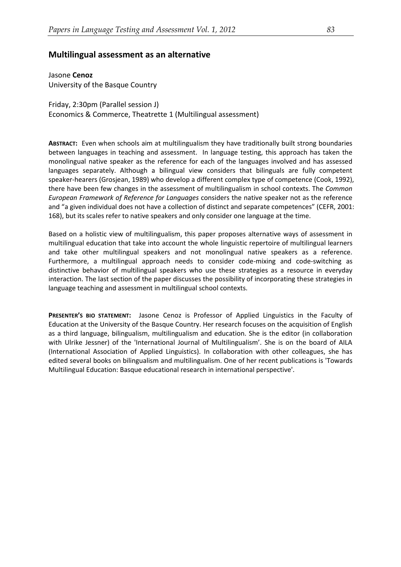#### **Multilingual assessment as an alternative**

Jasone **Cenoz** University of the Basque Country

Friday, 2:30pm (Parallel session J) Economics & Commerce, Theatrette 1 (Multilingual assessment)

**ABSTRACT:** Even when schools aim at multilingualism they have traditionally built strong boundaries between languages in teaching and assessment. In language testing, this approach has taken the monolingual native speaker as the reference for each of the languages involved and has assessed languages separately. Although a bilingual view considers that bilinguals are fully competent speaker-hearers (Grosjean, 1989) who develop a different complex type of competence (Cook, 1992), there have been few changes in the assessment of multilingualism in school contexts. The *Common European Framework of Reference for Languages* considers the native speaker not as the reference and "a given individual does not have a collection of distinct and separate competences" (CEFR, 2001: 168), but its scales refer to native speakers and only consider one language at the time.

Based on a holistic view of multilingualism, this paper proposes alternative ways of assessment in multilingual education that take into account the whole linguistic repertoire of multilingual learners and take other multilingual speakers and not monolingual native speakers as a reference. Furthermore, a multilingual approach needs to consider code-mixing and code-switching as distinctive behavior of multilingual speakers who use these strategies as a resource in everyday interaction. The last section of the paper discusses the possibility of incorporating these strategies in language teaching and assessment in multilingual school contexts.

**PRESENTER'S BIO STATEMENT:** Jasone Cenoz is Professor of Applied Linguistics in the Faculty of Education at the University of the Basque Country. Her research focuses on the acquisition of English as a third language, bilingualism, multilingualism and education. She is the editor (in collaboration with Ulrike Jessner) of the 'International Journal of Multilingualism'. She is on the board of AILA (International Association of Applied Linguistics). In collaboration with other colleagues, she has edited several books on bilingualism and multilingualism. One of her recent publications is 'Towards Multilingual Education: Basque educational research in international perspective'.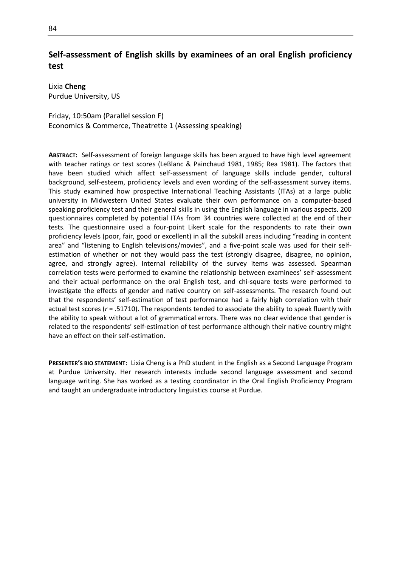# **Self-assessment of English skills by examinees of an oral English proficiency test**

Lixia **Cheng** Purdue University, US

Friday, 10:50am (Parallel session F) Economics & Commerce, Theatrette 1 (Assessing speaking)

**ABSTRACT:** Self-assessment of foreign language skills has been argued to have high level agreement with teacher ratings or test scores (LeBlanc & Painchaud 1981, 1985; Rea 1981). The factors that have been studied which affect self-assessment of language skills include gender, cultural background, self-esteem, proficiency levels and even wording of the self-assessment survey items. This study examined how prospective International Teaching Assistants (ITAs) at a large public university in Midwestern United States evaluate their own performance on a computer-based speaking proficiency test and their general skills in using the English language in various aspects. 200 questionnaires completed by potential ITAs from 34 countries were collected at the end of their tests. The questionnaire used a four-point Likert scale for the respondents to rate their own proficiency levels (poor, fair, good or excellent) in all the subskill areas including "reading in content area" and "listening to English televisions/movies", and a five-point scale was used for their selfestimation of whether or not they would pass the test (strongly disagree, disagree, no opinion, agree, and strongly agree). Internal reliability of the survey items was assessed. Spearman correlation tests were performed to examine the relationship between examinees' self-assessment and their actual performance on the oral English test, and chi-square tests were performed to investigate the effects of gender and native country on self-assessments. The research found out that the respondents' self-estimation of test performance had a fairly high correlation with their actual test scores (*r* = .51710). The respondents tended to associate the ability to speak fluently with the ability to speak without a lot of grammatical errors. There was no clear evidence that gender is related to the respondents' self-estimation of test performance although their native country might have an effect on their self-estimation.

**PRESENTER'S BIO STATEMENT:** Lixia Cheng is a PhD student in the English as a Second Language Program at Purdue University. Her research interests include second language assessment and second language writing. She has worked as a testing coordinator in the Oral English Proficiency Program and taught an undergraduate introductory linguistics course at Purdue.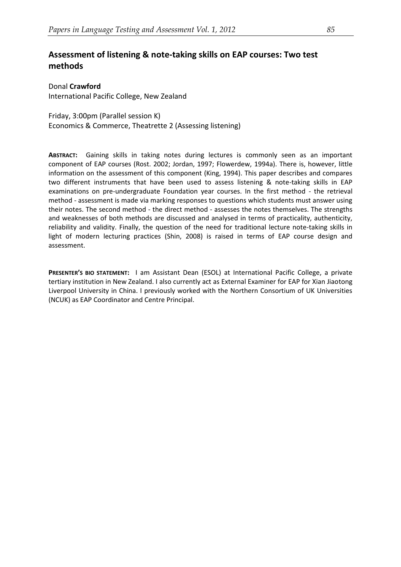# **Assessment of listening & note-taking skills on EAP courses: Two test methods**

Donal **Crawford** International Pacific College, New Zealand

Friday, 3:00pm (Parallel session K) Economics & Commerce, Theatrette 2 (Assessing listening)

**ABSTRACT:** Gaining skills in taking notes during lectures is commonly seen as an important component of EAP courses (Rost. 2002; Jordan, 1997; Flowerdew, 1994a). There is, however, little information on the assessment of this component (King, 1994). This paper describes and compares two different instruments that have been used to assess listening & note-taking skills in EAP examinations on pre-undergraduate Foundation year courses. In the first method - the retrieval method - assessment is made via marking responses to questions which students must answer using their notes. The second method - the direct method - assesses the notes themselves. The strengths and weaknesses of both methods are discussed and analysed in terms of practicality, authenticity, reliability and validity. Finally, the question of the need for traditional lecture note-taking skills in light of modern lecturing practices (Shin, 2008) is raised in terms of EAP course design and assessment.

**PRESENTER'S BIO STATEMENT:** I am Assistant Dean (ESOL) at International Pacific College, a private tertiary institution in New Zealand. I also currently act as External Examiner for EAP for Xian Jiaotong Liverpool University in China. I previously worked with the Northern Consortium of UK Universities (NCUK) as EAP Coordinator and Centre Principal.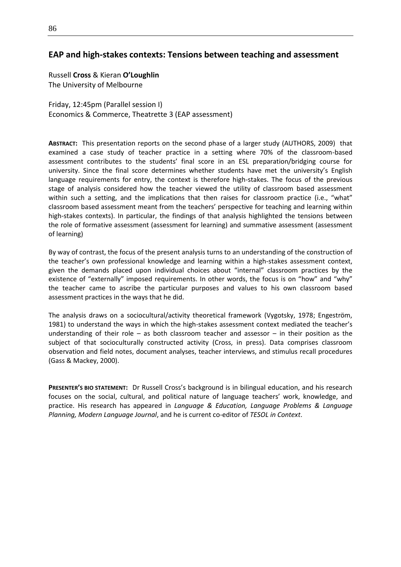### **EAP and high-stakes contexts: Tensions between teaching and assessment**

Russell **Cross** & Kieran **O'Loughlin** The University of Melbourne

Friday, 12:45pm (Parallel session I) Economics & Commerce, Theatrette 3 (EAP assessment)

**ABSTRACT:** This presentation reports on the second phase of a larger study (AUTHORS, 2009) that examined a case study of teacher practice in a setting where 70% of the classroom-based assessment contributes to the students' final score in an ESL preparation/bridging course for university. Since the final score determines whether students have met the university's English language requirements for entry, the context is therefore high-stakes. The focus of the previous stage of analysis considered how the teacher viewed the utility of classroom based assessment within such a setting, and the implications that then raises for classroom practice (i.e., "what" classroom based assessment meant from the teachers' perspective for teaching and learning within high-stakes contexts). In particular, the findings of that analysis highlighted the tensions between the role of formative assessment (assessment for learning) and summative assessment (assessment of learning)

By way of contrast, the focus of the present analysis turns to an understanding of the construction of the teacher's own professional knowledge and learning within a high-stakes assessment context, given the demands placed upon individual choices about "internal" classroom practices by the existence of "externally" imposed requirements. In other words, the focus is on "how" and "why" the teacher came to ascribe the particular purposes and values to his own classroom based assessment practices in the ways that he did.

The analysis draws on a sociocultural/activity theoretical framework (Vygotsky, 1978; Engeström, 1981) to understand the ways in which the high-stakes assessment context mediated the teacher's understanding of their role – as both classroom teacher and assessor – in their position as the subject of that socioculturally constructed activity (Cross, in press). Data comprises classroom observation and field notes, document analyses, teacher interviews, and stimulus recall procedures (Gass & Mackey, 2000).

**PRESENTER'S BIO STATEMENT:** Dr Russell Cross's background is in bilingual education, and his research focuses on the social, cultural, and political nature of language teachers' work, knowledge, and practice. His research has appeared in *Language & Education, Language Problems & Language Planning, Modern Language Journal*, and he is current co-editor of *TESOL in Context*.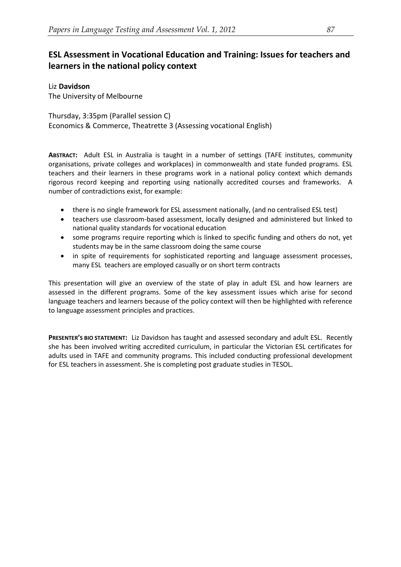# **ESL Assessment in Vocational Education and Training: Issues for teachers and learners in the national policy context**

#### Liz **Davidson**

The University of Melbourne

Thursday, 3:35pm (Parallel session C) Economics & Commerce, Theatrette 3 (Assessing vocational English)

**ABSTRACT:** Adult ESL in Australia is taught in a number of settings (TAFE institutes, community organisations, private colleges and workplaces) in commonwealth and state funded programs. ESL teachers and their learners in these programs work in a national policy context which demands rigorous record keeping and reporting using nationally accredited courses and frameworks. A number of contradictions exist, for example:

- there is no single framework for ESL assessment nationally, (and no centralised ESL test)
- teachers use classroom-based assessment, locally designed and administered but linked to national quality standards for vocational education
- some programs require reporting which is linked to specific funding and others do not, yet students may be in the same classroom doing the same course
- in spite of requirements for sophisticated reporting and language assessment processes, many ESL teachers are employed casually or on short term contracts

This presentation will give an overview of the state of play in adult ESL and how learners are assessed in the different programs. Some of the key assessment issues which arise for second language teachers and learners because of the policy context will then be highlighted with reference to language assessment principles and practices.

**PRESENTER'S BIO STATEMENT:** Liz Davidson has taught and assessed secondary and adult ESL. Recently she has been involved writing accredited curriculum, in particular the Victorian ESL certificates for adults used in TAFE and community programs. This included conducting professional development for ESL teachers in assessment. She is completing post graduate studies in TESOL.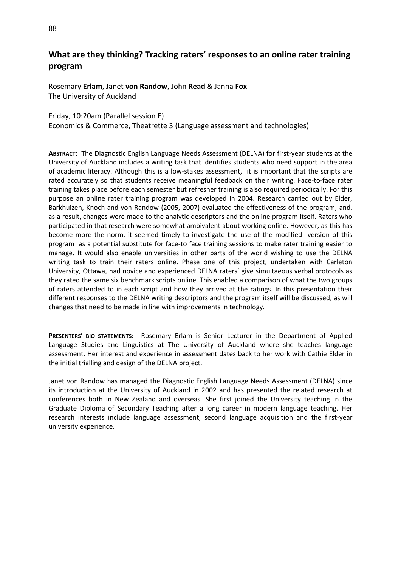# **What are they thinking? Tracking raters' responses to an online rater training program**

Rosemary **Erlam**, Janet **von Randow**, John **Read** & Janna **Fox** The University of Auckland

#### Friday, 10:20am (Parallel session E)

Economics & Commerce, Theatrette 3 (Language assessment and technologies)

**ABSTRACT:** The Diagnostic English Language Needs Assessment (DELNA) for first-year students at the University of Auckland includes a writing task that identifies students who need support in the area of academic literacy. Although this is a low-stakes assessment, it is important that the scripts are rated accurately so that students receive meaningful feedback on their writing. Face-to-face rater training takes place before each semester but refresher training is also required periodically. For this purpose an online rater training program was developed in 2004. Research carried out by Elder, Barkhuizen, Knoch and von Randow (2005, 2007) evaluated the effectiveness of the program, and, as a result, changes were made to the analytic descriptors and the online program itself. Raters who participated in that research were somewhat ambivalent about working online. However, as this has become more the norm, it seemed timely to investigate the use of the modified version of this program as a potential substitute for face-to face training sessions to make rater training easier to manage. It would also enable universities in other parts of the world wishing to use the DELNA writing task to train their raters online. Phase one of this project, undertaken with Carleton University, Ottawa, had novice and experienced DELNA raters' give simultaeous verbal protocols as they rated the same six benchmark scripts online. This enabled a comparison of what the two groups of raters attended to in each script and how they arrived at the ratings. In this presentation their different responses to the DELNA writing descriptors and the program itself will be discussed, as will changes that need to be made in line with improvements in technology.

**PRESENTERS' BIO STATEMENTS:** Rosemary Erlam is Senior Lecturer in the Department of Applied Language Studies and Linguistics at The University of Auckland where she teaches language assessment. Her interest and experience in assessment dates back to her work with Cathie Elder in the initial trialling and design of the DELNA project.

Janet von Randow has managed the Diagnostic English Language Needs Assessment (DELNA) since its introduction at the University of Auckland in 2002 and has presented the related research at conferences both in New Zealand and overseas. She first joined the University teaching in the Graduate Diploma of Secondary Teaching after a long career in modern language teaching. Her research interests include language assessment, second language acquisition and the first-year university experience.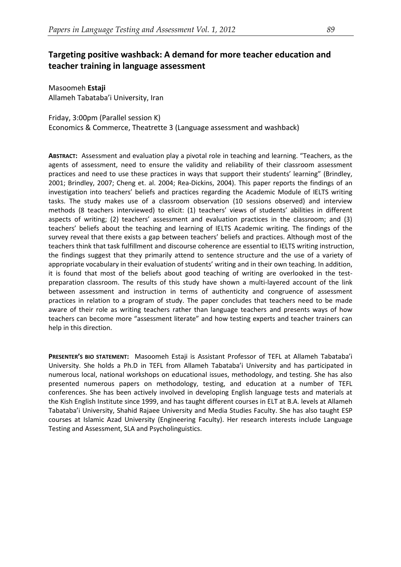# **Targeting positive washback: A demand for more teacher education and teacher training in language assessment**

Masoomeh **Estaji** Allameh Tabataba'i University, Iran

Friday, 3:00pm (Parallel session K) Economics & Commerce, Theatrette 3 (Language assessment and washback)

**ABSTRACT:** Assessment and evaluation play a pivotal role in teaching and learning. "Teachers, as the agents of assessment, need to ensure the validity and reliability of their classroom assessment practices and need to use these practices in ways that support their students' learning" (Brindley, 2001; Brindley, 2007; Cheng et. al. 2004; Rea-Dickins, 2004). This paper reports the findings of an investigation into teachers' beliefs and practices regarding the Academic Module of IELTS writing tasks. The study makes use of a classroom observation (10 sessions observed) and interview methods (8 teachers interviewed) to elicit: (1) teachers' views of students' abilities in different aspects of writing; (2) teachers' assessment and evaluation practices in the classroom; and (3) teachers' beliefs about the teaching and learning of IELTS Academic writing. The findings of the survey reveal that there exists a gap between teachers' beliefs and practices. Although most of the teachers think that task fulfillment and discourse coherence are essential to IELTS writing instruction, the findings suggest that they primarily attend to sentence structure and the use of a variety of appropriate vocabulary in their evaluation of students' writing and in their own teaching. In addition, it is found that most of the beliefs about good teaching of writing are overlooked in the testpreparation classroom. The results of this study have shown a multi-layered account of the link between assessment and instruction in terms of authenticity and congruence of assessment practices in relation to a program of study. The paper concludes that teachers need to be made aware of their role as writing teachers rather than language teachers and presents ways of how teachers can become more "assessment literate" and how testing experts and teacher trainers can help in this direction.

**PRESENTER'S BIO STATEMENT:** Masoomeh Estaji is Assistant Professor of TEFL at Allameh Tabataba'i University. She holds a Ph.D in TEFL from Allameh Tabataba'i University and has participated in numerous local, national workshops on educational issues, methodology, and testing. She has also presented numerous papers on methodology, testing, and education at a number of TEFL conferences. She has been actively involved in developing English language tests and materials at the Kish English Institute since 1999, and has taught different courses in ELT at B.A. levels at Allameh Tabataba'i University, Shahid Rajaee University and Media Studies Faculty. She has also taught ESP courses at Islamic Azad University (Engineering Faculty). Her research interests include Language Testing and Assessment, SLA and Psycholinguistics.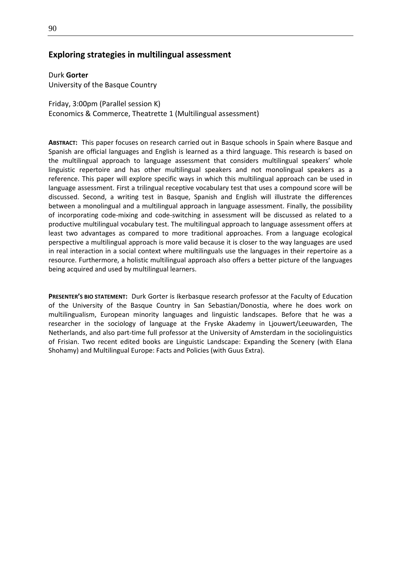#### **Exploring strategies in multilingual assessment**

Durk **Gorter** University of the Basque Country

Friday, 3:00pm (Parallel session K) Economics & Commerce, Theatrette 1 (Multilingual assessment)

**ABSTRACT:** This paper focuses on research carried out in Basque schools in Spain where Basque and Spanish are official languages and English is learned as a third language. This research is based on the multilingual approach to language assessment that considers multilingual speakers' whole linguistic repertoire and has other multilingual speakers and not monolingual speakers as a reference. This paper will explore specific ways in which this multilingual approach can be used in language assessment. First a trilingual receptive vocabulary test that uses a compound score will be discussed. Second, a writing test in Basque, Spanish and English will illustrate the differences between a monolingual and a multilingual approach in language assessment. Finally, the possibility of incorporating code-mixing and code-switching in assessment will be discussed as related to a productive multilingual vocabulary test. The multilingual approach to language assessment offers at least two advantages as compared to more traditional approaches. From a language ecological perspective a multilingual approach is more valid because it is closer to the way languages are used in real interaction in a social context where multilinguals use the languages in their repertoire as a resource. Furthermore, a holistic multilingual approach also offers a better picture of the languages being acquired and used by multilingual learners.

**PRESENTER'S BIO STATEMENT:** Durk Gorter is Ikerbasque research professor at the Faculty of Education of the University of the Basque Country in San Sebastian/Donostia, where he does work on multilingualism, European minority languages and linguistic landscapes. Before that he was a researcher in the sociology of language at the Fryske Akademy in Ljouwert/Leeuwarden, The Netherlands, and also part-time full professor at the University of Amsterdam in the sociolinguistics of Frisian. Two recent edited books are Linguistic Landscape: Expanding the Scenery (with Elana Shohamy) and Multilingual Europe: Facts and Policies (with Guus Extra).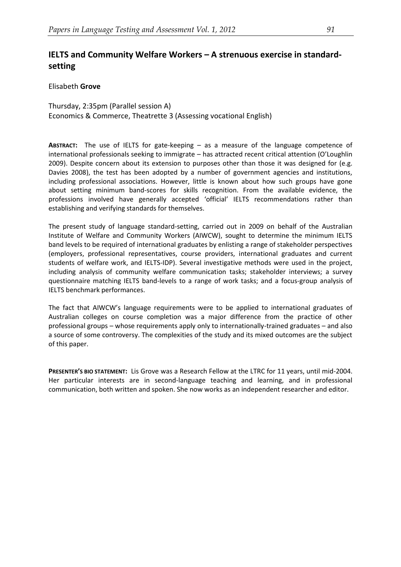# **IELTS and Community Welfare Workers – A strenuous exercise in standardsetting**

Elisabeth **Grove**

Thursday, 2:35pm (Parallel session A) Economics & Commerce, Theatrette 3 (Assessing vocational English)

**ABSTRACT:** The use of IELTS for gate-keeping – as a measure of the language competence of international professionals seeking to immigrate – has attracted recent critical attention (O'Loughlin 2009). Despite concern about its extension to purposes other than those it was designed for (e.g. Davies 2008), the test has been adopted by a number of government agencies and institutions, including professional associations. However, little is known about how such groups have gone about setting minimum band-scores for skills recognition. From the available evidence, the professions involved have generally accepted 'official' IELTS recommendations rather than establishing and verifying standards for themselves.

The present study of language standard-setting, carried out in 2009 on behalf of the Australian Institute of Welfare and Community Workers (AIWCW), sought to determine the minimum IELTS band levels to be required of international graduates by enlisting a range of stakeholder perspectives (employers, professional representatives, course providers, international graduates and current students of welfare work, and IELTS-IDP). Several investigative methods were used in the project, including analysis of community welfare communication tasks; stakeholder interviews; a survey questionnaire matching IELTS band-levels to a range of work tasks; and a focus-group analysis of IELTS benchmark performances.

The fact that AIWCW's language requirements were to be applied to international graduates of Australian colleges on course completion was a major difference from the practice of other professional groups – whose requirements apply only to internationally-trained graduates – and also a source of some controversy. The complexities of the study and its mixed outcomes are the subject of this paper.

**PRESENTER'S BIO STATEMENT:** Lis Grove was a Research Fellow at the LTRC for 11 years, until mid-2004. Her particular interests are in second-language teaching and learning, and in professional communication, both written and spoken. She now works as an independent researcher and editor.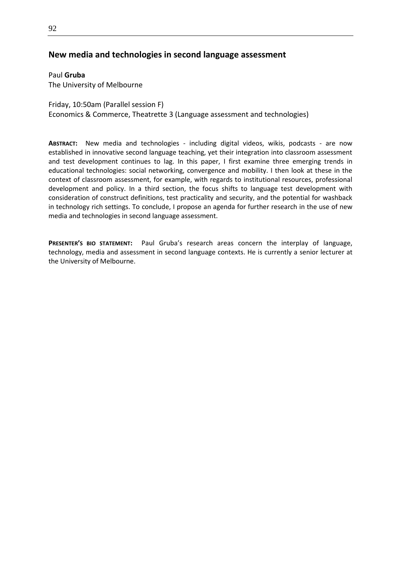### **New media and technologies in second language assessment**

Paul **Gruba** The University of Melbourne

Friday, 10:50am (Parallel session F) Economics & Commerce, Theatrette 3 (Language assessment and technologies)

**ABSTRACT:** New media and technologies - including digital videos, wikis, podcasts - are now established in innovative second language teaching, yet their integration into classroom assessment and test development continues to lag. In this paper, I first examine three emerging trends in educational technologies: social networking, convergence and mobility. I then look at these in the context of classroom assessment, for example, with regards to institutional resources, professional development and policy. In a third section, the focus shifts to language test development with consideration of construct definitions, test practicality and security, and the potential for washback in technology rich settings. To conclude, I propose an agenda for further research in the use of new media and technologies in second language assessment.

**PRESENTER'S BIO STATEMENT:** Paul Gruba's research areas concern the interplay of language, technology, media and assessment in second language contexts. He is currently a senior lecturer at the University of Melbourne.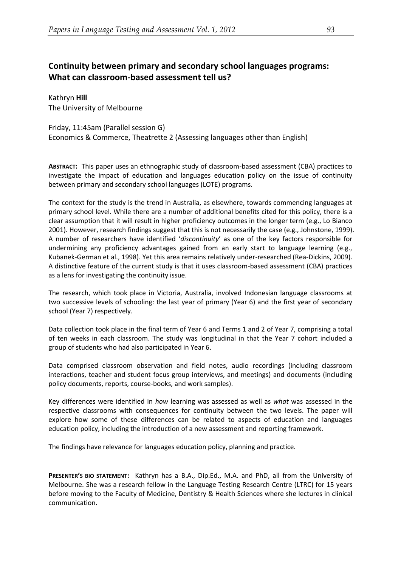# **Continuity between primary and secondary school languages programs: What can classroom-based assessment tell us?**

Kathryn **Hill** The University of Melbourne

Friday, 11:45am (Parallel session G) Economics & Commerce, Theatrette 2 (Assessing languages other than English)

**ABSTRACT:** This paper uses an ethnographic study of classroom-based assessment (CBA) practices to investigate the impact of education and languages education policy on the issue of continuity between primary and secondary school languages (LOTE) programs.

The context for the study is the trend in Australia, as elsewhere, towards commencing languages at primary school level. While there are a number of additional benefits cited for this policy, there is a clear assumption that it will result in higher proficiency outcomes in the longer term (e.g., Lo Bianco 2001). However, research findings suggest that this is not necessarily the case (e.g., Johnstone, 1999). A number of researchers have identified '*discontinuity*' as one of the key factors responsible for undermining any proficiency advantages gained from an early start to language learning (e.g., Kubanek-German et al., 1998). Yet this area remains relatively under-researched (Rea-Dickins, 2009). A distinctive feature of the current study is that it uses classroom-based assessment (CBA) practices as a lens for investigating the continuity issue.

The research, which took place in Victoria, Australia, involved Indonesian language classrooms at two successive levels of schooling: the last year of primary (Year 6) and the first year of secondary school (Year 7) respectively.

Data collection took place in the final term of Year 6 and Terms 1 and 2 of Year 7, comprising a total of ten weeks in each classroom. The study was longitudinal in that the Year 7 cohort included a group of students who had also participated in Year 6.

Data comprised classroom observation and field notes, audio recordings (including classroom interactions, teacher and student focus group interviews, and meetings) and documents (including policy documents, reports, course-books, and work samples).

Key differences were identified in *how* learning was assessed as well as *what* was assessed in the respective classrooms with consequences for continuity between the two levels. The paper will explore how some of these differences can be related to aspects of education and languages education policy, including the introduction of a new assessment and reporting framework.

The findings have relevance for languages education policy, planning and practice.

**PRESENTER'S BIO STATEMENT:** Kathryn has a B.A., Dip.Ed., M.A. and PhD, all from the University of Melbourne. She was a research fellow in the Language Testing Research Centre (LTRC) for 15 years before moving to the Faculty of Medicine, Dentistry & Health Sciences where she lectures in clinical communication.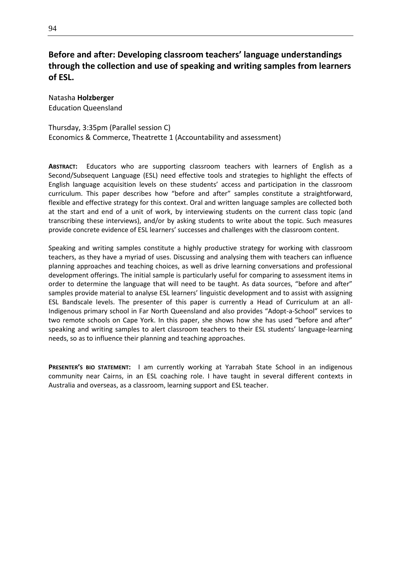# **Before and after: Developing classroom teachers' language understandings through the collection and use of speaking and writing samples from learners of ESL.**

Natasha **Holzberger** Education Queensland

#### Thursday, 3:35pm (Parallel session C) Economics & Commerce, Theatrette 1 (Accountability and assessment)

**ABSTRACT:** Educators who are supporting classroom teachers with learners of English as a Second/Subsequent Language (ESL) need effective tools and strategies to highlight the effects of English language acquisition levels on these students' access and participation in the classroom curriculum. This paper describes how "before and after" samples constitute a straightforward, flexible and effective strategy for this context. Oral and written language samples are collected both at the start and end of a unit of work, by interviewing students on the current class topic (and transcribing these interviews), and/or by asking students to write about the topic. Such measures provide concrete evidence of ESL learners' successes and challenges with the classroom content.

Speaking and writing samples constitute a highly productive strategy for working with classroom teachers, as they have a myriad of uses. Discussing and analysing them with teachers can influence planning approaches and teaching choices, as well as drive learning conversations and professional development offerings. The initial sample is particularly useful for comparing to assessment items in order to determine the language that will need to be taught. As data sources, "before and after" samples provide material to analyse ESL learners' linguistic development and to assist with assigning ESL Bandscale levels. The presenter of this paper is currently a Head of Curriculum at an all-Indigenous primary school in Far North Queensland and also provides "Adopt-a-School" services to two remote schools on Cape York. In this paper, she shows how she has used "before and after" speaking and writing samples to alert classroom teachers to their ESL students' language-learning needs, so as to influence their planning and teaching approaches.

**PRESENTER'S BIO STATEMENT:** I am currently working at Yarrabah State School in an indigenous community near Cairns, in an ESL coaching role. I have taught in several different contexts in Australia and overseas, as a classroom, learning support and ESL teacher.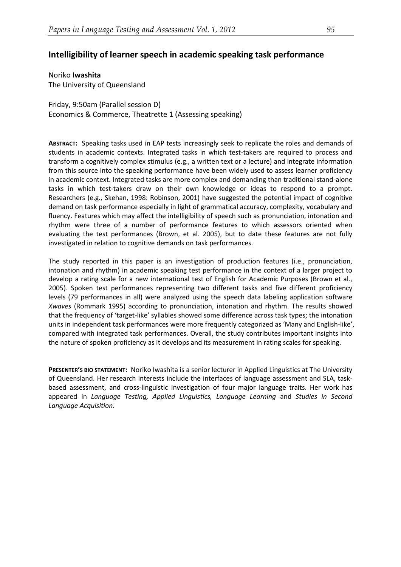### **Intelligibility of learner speech in academic speaking task performance**

Noriko **Iwashita** The University of Queensland

Friday, 9:50am (Parallel session D) Economics & Commerce, Theatrette 1 (Assessing speaking)

**ABSTRACT:** Speaking tasks used in EAP tests increasingly seek to replicate the roles and demands of students in academic contexts. Integrated tasks in which test-takers are required to process and transform a cognitively complex stimulus (e.g., a written text or a lecture) and integrate information from this source into the speaking performance have been widely used to assess learner proficiency in academic context. Integrated tasks are more complex and demanding than traditional stand-alone tasks in which test-takers draw on their own knowledge or ideas to respond to a prompt. Researchers (e.g., Skehan, 1998: Robinson, 2001) have suggested the potential impact of cognitive demand on task performance especially in light of grammatical accuracy, complexity, vocabulary and fluency. Features which may affect the intelligibility of speech such as pronunciation, intonation and rhythm were three of a number of performance features to which assessors oriented when evaluating the test performances (Brown, et al. 2005), but to date these features are not fully investigated in relation to cognitive demands on task performances.

The study reported in this paper is an investigation of production features (i.e., pronunciation, intonation and rhythm) in academic speaking test performance in the context of a larger project to develop a rating scale for a new international test of English for Academic Purposes (Brown et al., 2005). Spoken test performances representing two different tasks and five different proficiency levels (79 performances in all) were analyzed using the speech data labeling application software *Xwaves* (Rommark 1995) according to pronunciation, intonation and rhythm. The results showed that the frequency of 'target-like' syllables showed some difference across task types; the intonation units in independent task performances were more frequently categorized as 'Many and English-like', compared with integrated task performances. Overall, the study contributes important insights into the nature of spoken proficiency as it develops and its measurement in rating scales for speaking.

**PRESENTER'S BIO STATEMENT:** Noriko Iwashita is a senior lecturer in Applied Linguistics at The University of Queensland. Her research interests include the interfaces of language assessment and SLA, taskbased assessment, and cross-linguistic investigation of four major language traits. Her work has appeared in *Language Testing, Applied Linguistics, Language Learning* and *Studies in Second Language Acquisition*.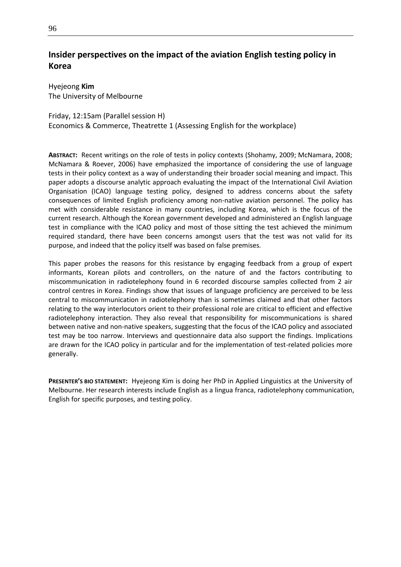# **Insider perspectives on the impact of the aviation English testing policy in Korea**

Hyejeong **Kim** The University of Melbourne

#### Friday, 12:15am (Parallel session H)

Economics & Commerce, Theatrette 1 (Assessing English for the workplace)

**ABSTRACT:** Recent writings on the role of tests in policy contexts (Shohamy, 2009; McNamara, 2008; McNamara & Roever, 2006) have emphasized the importance of considering the use of language tests in their policy context as a way of understanding their broader social meaning and impact. This paper adopts a discourse analytic approach evaluating the impact of the International Civil Aviation Organisation (ICAO) language testing policy, designed to address concerns about the safety consequences of limited English proficiency among non-native aviation personnel. The policy has met with considerable resistance in many countries, including Korea, which is the focus of the current research. Although the Korean government developed and administered an English language test in compliance with the ICAO policy and most of those sitting the test achieved the minimum required standard, there have been concerns amongst users that the test was not valid for its purpose, and indeed that the policy itself was based on false premises*.*

This paper probes the reasons for this resistance by engaging feedback from a group of expert informants, Korean pilots and controllers, on the nature of and the factors contributing to miscommunication in radiotelephony found in 6 recorded discourse samples collected from 2 air control centres in Korea. Findings show that issues of language proficiency are perceived to be less central to miscommunication in radiotelephony than is sometimes claimed and that other factors relating to the way interlocutors orient to their professional role are critical to efficient and effective radiotelephony interaction. They also reveal that responsibility for miscommunications is shared between native and non-native speakers, suggesting that the focus of the ICAO policy and associated test may be too narrow. Interviews and questionnaire data also support the findings. Implications are drawn for the ICAO policy in particular and for the implementation of test-related policies more generally.

**PRESENTER'S BIO STATEMENT:** Hyejeong Kim is doing her PhD in Applied Linguistics at the University of Melbourne. Her research interests include English as a lingua franca, radiotelephony communication, English for specific purposes, and testing policy.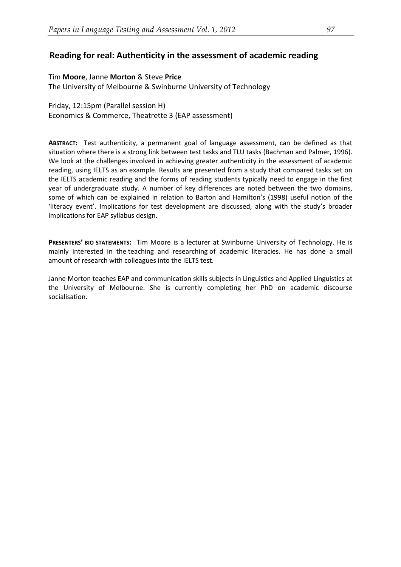# **Reading for real: Authenticity in the assessment of academic reading**

#### Tim **Moore**, Janne **Morton** & Steve **Price**

The University of Melbourne & Swinburne University of Technology

Friday, 12:15pm (Parallel session H) Economics & Commerce, Theatrette 3 (EAP assessment)

**ABSTRACT:** Test authenticity, a permanent goal of language assessment, can be defined as that situation where there is a strong link between test tasks and TLU tasks (Bachman and Palmer, 1996). We look at the challenges involved in achieving greater authenticity in the assessment of academic reading, using IELTS as an example. Results are presented from a study that compared tasks set on the IELTS academic reading and the forms of reading students typically need to engage in the first year of undergraduate study. A number of key differences are noted between the two domains, some of which can be explained in relation to Barton and Hamilton's (1998) useful notion of the 'literacy event'. Implications for test development are discussed, along with the study's broader implications for EAP syllabus design.

**PRESENTERS' BIO STATEMENTS:** Tim Moore is a lecturer at Swinburne University of Technology. He is mainly interested in the teaching and researching of academic literacies. He has done a small amount of research with colleagues into the IELTS test.

Janne Morton teaches EAP and communication skills subjects in Linguistics and Applied Linguistics at the University of Melbourne. She is currently completing her PhD on academic discourse socialisation.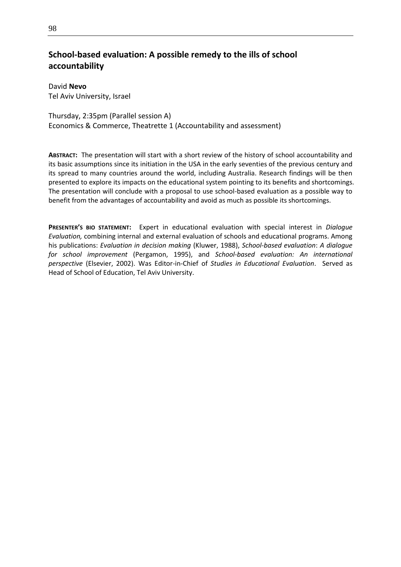# **School-based evaluation: A possible remedy to the ills of school accountability**

David **Nevo** Tel Aviv University, Israel

Thursday, 2:35pm (Parallel session A) Economics & Commerce, Theatrette 1 (Accountability and assessment)

**ABSTRACT:** The presentation will start with a short review of the history of school accountability and its basic assumptions since its initiation in the USA in the early seventies of the previous century and its spread to many countries around the world, including Australia. Research findings will be then presented to explore its impacts on the educational system pointing to its benefits and shortcomings. The presentation will conclude with a proposal to use school-based evaluation as a possible way to benefit from the advantages of accountability and avoid as much as possible its shortcomings.

**PRESENTER'S BIO STATEMENT:** Expert in educational evaluation with special interest in *Dialogue Evaluation,* combining internal and external evaluation of schools and educational programs. Among his publications: *Evaluation in decision making* (Kluwer, 1988), *School-based evaluation*: *A dialogue for school improvement* (Pergamon, 1995), and *School-based evaluation: An international perspective* (Elsevier, 2002). Was Editor-in-Chief of *Studies in Educational Evaluation*. Served as Head of School of Education, Tel Aviv University.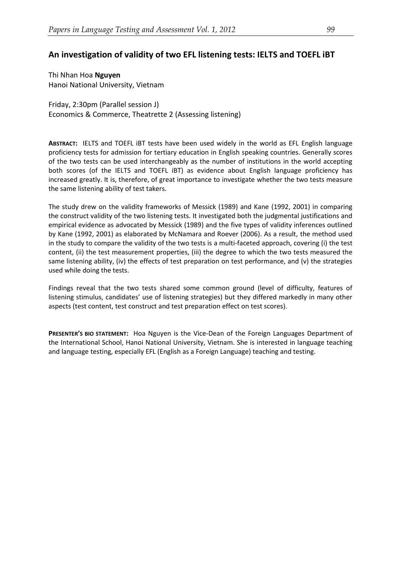# **An investigation of validity of two EFL listening tests: IELTS and TOEFL iBT**

Thi Nhan Hoa **Nguyen** Hanoi National University, Vietnam

Friday, 2:30pm (Parallel session J) Economics & Commerce, Theatrette 2 (Assessing listening)

**ABSTRACT:** IELTS and TOEFL iBT tests have been used widely in the world as EFL English language proficiency tests for admission for tertiary education in English speaking countries. Generally scores of the two tests can be used interchangeably as the number of institutions in the world accepting both scores (of the IELTS and TOEFL iBT) as evidence about English language proficiency has increased greatly. It is, therefore, of great importance to investigate whether the two tests measure the same listening ability of test takers.

The study drew on the validity frameworks of Messick (1989) and Kane (1992, 2001) in comparing the construct validity of the two listening tests. It investigated both the judgmental justifications and empirical evidence as advocated by Messick (1989) and the five types of validity inferences outlined by Kane (1992, 2001) as elaborated by McNamara and Roever (2006). As a result, the method used in the study to compare the validity of the two tests is a multi-faceted approach, covering (i) the test content, (ii) the test measurement properties, (iii) the degree to which the two tests measured the same listening ability, (iv) the effects of test preparation on test performance, and (v) the strategies used while doing the tests.

Findings reveal that the two tests shared some common ground (level of difficulty, features of listening stimulus, candidates' use of listening strategies) but they differed markedly in many other aspects (test content, test construct and test preparation effect on test scores).

**PRESENTER'S BIO STATEMENT:** Hoa Nguyen is the Vice-Dean of the Foreign Languages Department of the International School, Hanoi National University, Vietnam. She is interested in language teaching and language testing, especially EFL (English as a Foreign Language) teaching and testing.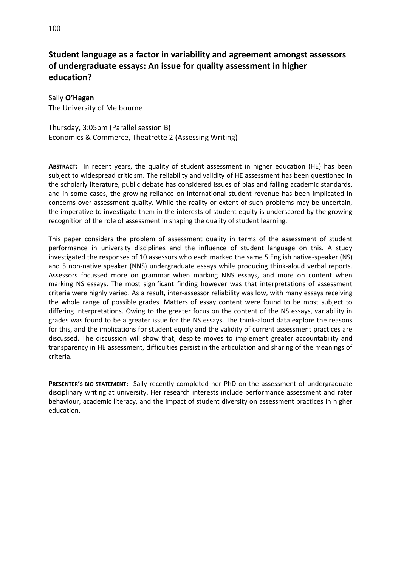# **Student language as a factor in variability and agreement amongst assessors of undergraduate essays: An issue for quality assessment in higher education?**

Sally **O'Hagan** The University of Melbourne

Thursday, 3:05pm (Parallel session B) Economics & Commerce, Theatrette 2 (Assessing Writing)

**ABSTRACT:** In recent years, the quality of student assessment in higher education (HE) has been subject to widespread criticism. The reliability and validity of HE assessment has been questioned in the scholarly literature, public debate has considered issues of bias and falling academic standards, and in some cases, the growing reliance on international student revenue has been implicated in concerns over assessment quality. While the reality or extent of such problems may be uncertain, the imperative to investigate them in the interests of student equity is underscored by the growing recognition of the role of assessment in shaping the quality of student learning.

This paper considers the problem of assessment quality in terms of the assessment of student performance in university disciplines and the influence of student language on this. A study investigated the responses of 10 assessors who each marked the same 5 English native-speaker (NS) and 5 non-native speaker (NNS) undergraduate essays while producing think-aloud verbal reports. Assessors focussed more on grammar when marking NNS essays, and more on content when marking NS essays. The most significant finding however was that interpretations of assessment criteria were highly varied. As a result, inter-assessor reliability was low, with many essays receiving the whole range of possible grades. Matters of essay content were found to be most subject to differing interpretations. Owing to the greater focus on the content of the NS essays, variability in grades was found to be a greater issue for the NS essays. The think-aloud data explore the reasons for this, and the implications for student equity and the validity of current assessment practices are discussed. The discussion will show that, despite moves to implement greater accountability and transparency in HE assessment, difficulties persist in the articulation and sharing of the meanings of criteria.

**PRESENTER'S BIO STATEMENT:** Sally recently completed her PhD on the assessment of undergraduate disciplinary writing at university. Her research interests include performance assessment and rater behaviour, academic literacy, and the impact of student diversity on assessment practices in higher education.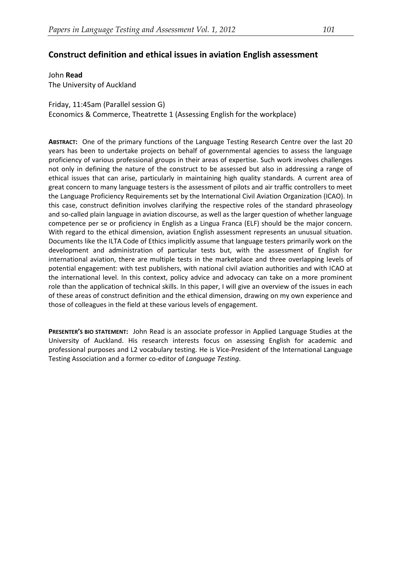### **Construct definition and ethical issues in aviation English assessment**

John **Read** The University of Auckland

Friday, 11:45am (Parallel session G) Economics & Commerce, Theatrette 1 (Assessing English for the workplace)

**ABSTRACT:** One of the primary functions of the Language Testing Research Centre over the last 20 years has been to undertake projects on behalf of governmental agencies to assess the language proficiency of various professional groups in their areas of expertise. Such work involves challenges not only in defining the nature of the construct to be assessed but also in addressing a range of ethical issues that can arise, particularly in maintaining high quality standards. A current area of great concern to many language testers is the assessment of pilots and air traffic controllers to meet the Language Proficiency Requirements set by the International Civil Aviation Organization (ICAO). In this case, construct definition involves clarifying the respective roles of the standard phraseology and so-called plain language in aviation discourse, as well as the larger question of whether language competence per se or proficiency in English as a Lingua Franca (ELF) should be the major concern. With regard to the ethical dimension, aviation English assessment represents an unusual situation. Documents like the ILTA Code of Ethics implicitly assume that language testers primarily work on the development and administration of particular tests but, with the assessment of English for international aviation, there are multiple tests in the marketplace and three overlapping levels of potential engagement: with test publishers, with national civil aviation authorities and with ICAO at the international level. In this context, policy advice and advocacy can take on a more prominent role than the application of technical skills. In this paper, I will give an overview of the issues in each of these areas of construct definition and the ethical dimension, drawing on my own experience and those of colleagues in the field at these various levels of engagement.

**PRESENTER'S BIO STATEMENT:** John Read is an associate professor in Applied Language Studies at the University of Auckland. His research interests focus on assessing English for academic and professional purposes and L2 vocabulary testing. He is Vice-President of the International Language Testing Association and a former co-editor of *Language Testing*.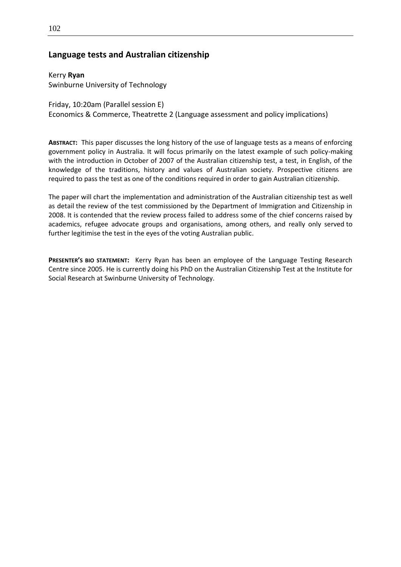### **Language tests and Australian citizenship**

Kerry **Ryan** Swinburne University of Technology

Friday, 10:20am (Parallel session E) Economics & Commerce, Theatrette 2 (Language assessment and policy implications)

**ABSTRACT:** This paper discusses the long history of the use of language tests as a means of enforcing government policy in Australia. It will focus primarily on the latest example of such policy-making with the introduction in October of 2007 of the Australian citizenship test, a test, in English, of the knowledge of the traditions, history and values of Australian society. Prospective citizens are required to pass the test as one of the conditions required in order to gain Australian citizenship.

The paper will chart the implementation and administration of the Australian citizenship test as well as detail the review of the test commissioned by the Department of Immigration and Citizenship in 2008. It is contended that the review process failed to address some of the chief concerns raised by academics, refugee advocate groups and organisations, among others, and really only served to further legitimise the test in the eyes of the voting Australian public.

**PRESENTER'S BIO STATEMENT:** Kerry Ryan has been an employee of the Language Testing Research Centre since 2005. He is currently doing his PhD on the Australian Citizenship Test at the Institute for Social Research at Swinburne University of Technology.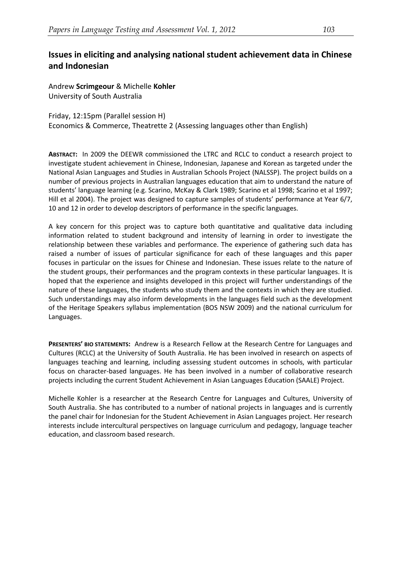# **Issues in eliciting and analysing national student achievement data in Chinese and Indonesian**

Andrew **Scrimgeour** & Michelle **Kohler** University of South Australia

Friday, 12:15pm (Parallel session H) Economics & Commerce, Theatrette 2 (Assessing languages other than English)

**ABSTRACT:** In 2009 the DEEWR commissioned the LTRC and RCLC to conduct a research project to investigate student achievement in Chinese, Indonesian, Japanese and Korean as targeted under the National Asian Languages and Studies in Australian Schools Project (NALSSP). The project builds on a number of previous projects in Australian languages education that aim to understand the nature of students' language learning (e.g. Scarino, McKay & Clark 1989; Scarino et al 1998; Scarino et al 1997; Hill et al 2004). The project was designed to capture samples of students' performance at Year 6/7, 10 and 12 in order to develop descriptors of performance in the specific languages.

A key concern for this project was to capture both quantitative and qualitative data including information related to student background and intensity of learning in order to investigate the relationship between these variables and performance. The experience of gathering such data has raised a number of issues of particular significance for each of these languages and this paper focuses in particular on the issues for Chinese and Indonesian. These issues relate to the nature of the student groups, their performances and the program contexts in these particular languages. It is hoped that the experience and insights developed in this project will further understandings of the nature of these languages, the students who study them and the contexts in which they are studied. Such understandings may also inform developments in the languages field such as the development of the Heritage Speakers syllabus implementation (BOS NSW 2009) and the national curriculum for Languages.

**PRESENTERS' BIO STATEMENTS:** Andrew is a Research Fellow at the Research Centre for Languages and Cultures (RCLC) at the University of South Australia. He has been involved in research on aspects of languages teaching and learning, including assessing student outcomes in schools, with particular focus on character-based languages. He has been involved in a number of collaborative research projects including the current Student Achievement in Asian Languages Education (SAALE) Project.

Michelle Kohler is a researcher at the Research Centre for Languages and Cultures, University of South Australia. She has contributed to a number of national projects in languages and is currently the panel chair for Indonesian for the Student Achievement in Asian Languages project. Her research interests include intercultural perspectives on language curriculum and pedagogy, language teacher education, and classroom based research.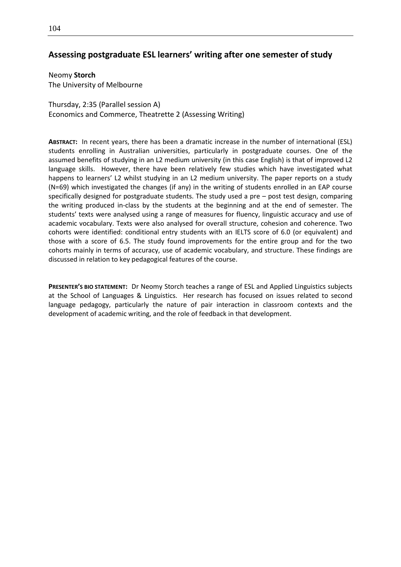### **Assessing postgraduate ESL learners' writing after one semester of study**

Neomy **Storch** The University of Melbourne

Thursday, 2:35 (Parallel session A) Economics and Commerce, Theatrette 2 (Assessing Writing)

**ABSTRACT:** In recent years, there has been a dramatic increase in the number of international (ESL) students enrolling in Australian universities, particularly in postgraduate courses. One of the assumed benefits of studying in an L2 medium university (in this case English) is that of improved L2 language skills. However, there have been relatively few studies which have investigated what happens to learners' L2 whilst studying in an L2 medium university. The paper reports on a study (N=69) which investigated the changes (if any) in the writing of students enrolled in an EAP course specifically designed for postgraduate students. The study used a pre – post test design, comparing the writing produced in-class by the students at the beginning and at the end of semester. The students' texts were analysed using a range of measures for fluency, linguistic accuracy and use of academic vocabulary. Texts were also analysed for overall structure, cohesion and coherence. Two cohorts were identified: conditional entry students with an IELTS score of 6.0 (or equivalent) and those with a score of 6.5. The study found improvements for the entire group and for the two cohorts mainly in terms of accuracy, use of academic vocabulary, and structure. These findings are discussed in relation to key pedagogical features of the course.

**PRESENTER'S BIO STATEMENT:** Dr Neomy Storch teaches a range of ESL and Applied Linguistics subjects at the School of Languages & Linguistics. Her research has focused on issues related to second language pedagogy, particularly the nature of pair interaction in classroom contexts and the development of academic writing, and the role of feedback in that development.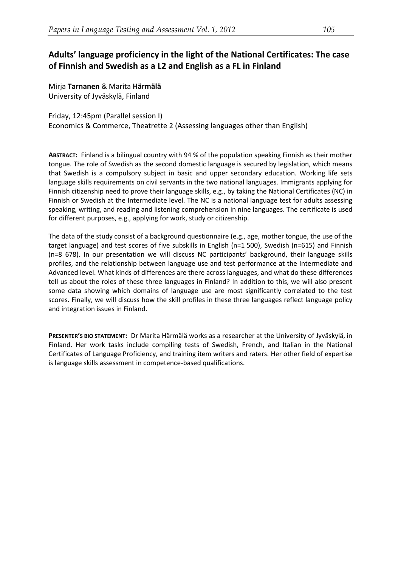# **Adults' language proficiency in the light of the National Certificates: The case of Finnish and Swedish as a L2 and English as a FL in Finland**

Mirja **Tarnanen** & Marita **Härmälä** University of Jyväskylä, Finland

#### Friday, 12:45pm (Parallel session I) Economics & Commerce, Theatrette 2 (Assessing languages other than English)

**ABSTRACT:** Finland is a bilingual country with 94 % of the population speaking Finnish as their mother tongue. The role of Swedish as the second domestic language is secured by legislation, which means that Swedish is a compulsory subject in basic and upper secondary education. Working life sets language skills requirements on civil servants in the two national languages. Immigrants applying for Finnish citizenship need to prove their language skills, e.g., by taking the National Certificates (NC) in Finnish or Swedish at the Intermediate level. The NC is a national language test for adults assessing speaking, writing, and reading and listening comprehension in nine languages. The certificate is used for different purposes, e.g., applying for work, study or citizenship.

The data of the study consist of a background questionnaire (e.g., age, mother tongue, the use of the target language) and test scores of five subskills in English (n=1 500), Swedish (n=615) and Finnish (n=8 678). In our presentation we will discuss NC participants' background, their language skills profiles, and the relationship between language use and test performance at the Intermediate and Advanced level. What kinds of differences are there across languages, and what do these differences tell us about the roles of these three languages in Finland? In addition to this, we will also present some data showing which domains of language use are most significantly correlated to the test scores. Finally, we will discuss how the skill profiles in these three languages reflect language policy and integration issues in Finland.

**PRESENTER'S BIO STATEMENT:** Dr Marita Härmälä works as a researcher at the University of Jyväskylä, in Finland. Her work tasks include compiling tests of Swedish, French, and Italian in the National Certificates of Language Proficiency, and training item writers and raters. Her other field of expertise is language skills assessment in competence-based qualifications.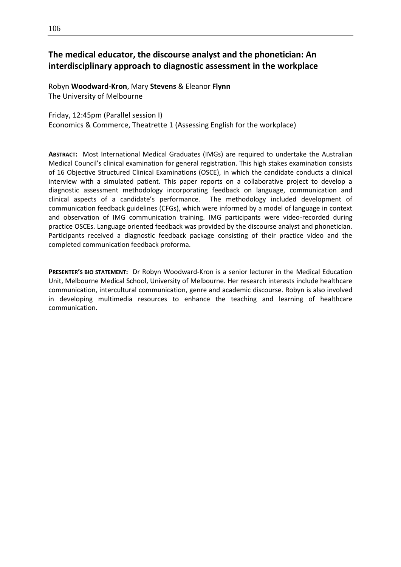# **The medical educator, the discourse analyst and the phonetician: An interdisciplinary approach to diagnostic assessment in the workplace**

Robyn **Woodward-Kron**, Mary **Stevens** & Eleanor **Flynn** The University of Melbourne

Friday, 12:45pm (Parallel session I) Economics & Commerce, Theatrette 1 (Assessing English for the workplace)

**ABSTRACT:** Most International Medical Graduates (IMGs) are required to undertake the Australian Medical Council's clinical examination for general registration. This high stakes examination consists of 16 Objective Structured Clinical Examinations (OSCE), in which the candidate conducts a clinical interview with a simulated patient. This paper reports on a collaborative project to develop a diagnostic assessment methodology incorporating feedback on language, communication and clinical aspects of a candidate's performance. The methodology included development of communication feedback guidelines (CFGs), which were informed by a model of language in context and observation of IMG communication training. IMG participants were video-recorded during practice OSCEs. Language oriented feedback was provided by the discourse analyst and phonetician. Participants received a diagnostic feedback package consisting of their practice video and the completed communication feedback proforma.

**PRESENTER'S BIO STATEMENT:** Dr Robyn Woodward-Kron is a senior lecturer in the Medical Education Unit, Melbourne Medical School, University of Melbourne. Her research interests include healthcare communication, intercultural communication, genre and academic discourse. Robyn is also involved in developing multimedia resources to enhance the teaching and learning of healthcare communication.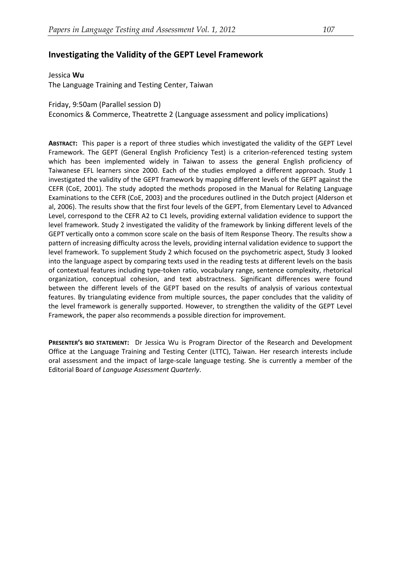### **Investigating the Validity of the GEPT Level Framework**

#### Jessica **Wu**

The Language Training and Testing Center, Taiwan

Friday, 9:50am (Parallel session D)

Economics & Commerce, Theatrette 2 (Language assessment and policy implications)

**ABSTRACT:** This paper is a report of three studies which investigated the validity of the GEPT Level Framework. The GEPT (General English Proficiency Test) is a criterion-referenced testing system which has been implemented widely in Taiwan to assess the general English proficiency of Taiwanese EFL learners since 2000. Each of the studies employed a different approach. Study 1 investigated the validity of the GEPT framework by mapping different levels of the GEPT against the CEFR (CoE, 2001). The study adopted the methods proposed in the Manual for Relating Language Examinations to the CEFR (CoE, 2003) and the procedures outlined in the Dutch project (Alderson et al, 2006). The results show that the first four levels of the GEPT, from Elementary Level to Advanced Level, correspond to the CEFR A2 to C1 levels, providing external validation evidence to support the level framework. Study 2 investigated the validity of the framework by linking different levels of the GEPT vertically onto a common score scale on the basis of Item Response Theory. The results show a pattern of increasing difficulty across the levels, providing internal validation evidence to support the level framework. To supplement Study 2 which focused on the psychometric aspect, Study 3 looked into the language aspect by comparing texts used in the reading tests at different levels on the basis of contextual features including type-token ratio, vocabulary range, sentence complexity, rhetorical organization, conceptual cohesion, and text abstractness. Significant differences were found between the different levels of the GEPT based on the results of analysis of various contextual features. By triangulating evidence from multiple sources, the paper concludes that the validity of the level framework is generally supported. However, to strengthen the validity of the GEPT Level Framework, the paper also recommends a possible direction for improvement.

**PRESENTER'S BIO STATEMENT:** Dr Jessica Wu is Program Director of the Research and Development Office at the Language Training and Testing Center (LTTC), Taiwan. Her research interests include oral assessment and the impact of large-scale language testing. She is currently a member of the Editorial Board of *Language Assessment Quarterly*.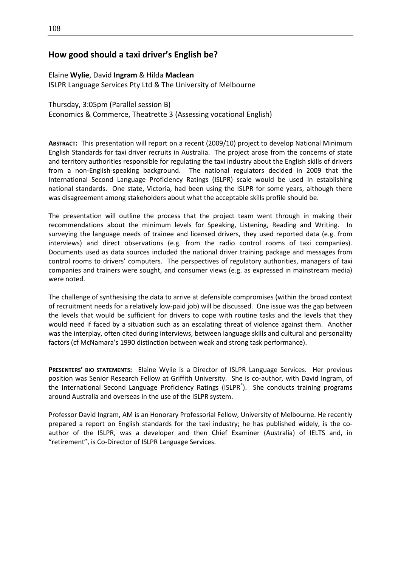### **How good should a taxi driver's English be?**

#### Elaine **Wylie**, David **Ingram** & Hilda **Maclean**

ISLPR Language Services Pty Ltd & The University of Melbourne

Thursday, 3:05pm (Parallel session B) Economics & Commerce, Theatrette 3 (Assessing vocational English)

**ABSTRACT:** This presentation will report on a recent (2009/10) project to develop National Minimum English Standards for taxi driver recruits in Australia. The project arose from the concerns of state and territory authorities responsible for regulating the taxi industry about the English skills of drivers from a non-English-speaking background. The national regulators decided in 2009 that the International Second Language Proficiency Ratings (ISLPR) scale would be used in establishing national standards. One state, Victoria, had been using the ISLPR for some years, although there was disagreement among stakeholders about what the acceptable skills profile should be.

The presentation will outline the process that the project team went through in making their recommendations about the minimum levels for Speaking, Listening, Reading and Writing. In surveying the language needs of trainee and licensed drivers, they used reported data (e.g. from interviews) and direct observations (e.g. from the radio control rooms of taxi companies). Documents used as data sources included the national driver training package and messages from control rooms to drivers' computers. The perspectives of regulatory authorities, managers of taxi companies and trainers were sought, and consumer views (e.g. as expressed in mainstream media) were noted.

The challenge of synthesising the data to arrive at defensible compromises (within the broad context of recruitment needs for a relatively low-paid job) will be discussed. One issue was the gap between the levels that would be sufficient for drivers to cope with routine tasks and the levels that they would need if faced by a situation such as an escalating threat of violence against them. Another was the interplay, often cited during interviews, between language skills and cultural and personality factors (cf McNamara's 1990 distinction between weak and strong task performance).

**PRESENTERS' BIO STATEMENTS:** Elaine Wylie is a Director of ISLPR Language Services. Her previous position was Senior Research Fellow at Griffith University. She is co-author, with David Ingram, of the International Second Language Proficiency Ratings (ISLPR<sup>®</sup>). She conducts training programs around Australia and overseas in the use of the ISLPR system.

Professor David Ingram, AM is an Honorary Professorial Fellow, University of Melbourne. He recently prepared a report on English standards for the taxi industry; he has published widely, is the coauthor of the ISLPR, was a developer and then Chief Examiner (Australia) of IELTS and, in "retirement", is Co-Director of ISLPR Language Services.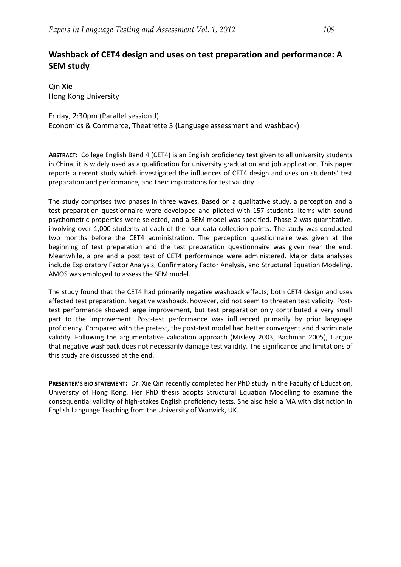# **Washback of CET4 design and uses on test preparation and performance: A SEM study**

Qin **Xie** Hong Kong University

Friday, 2:30pm (Parallel session J) Economics & Commerce, Theatrette 3 (Language assessment and washback)

**ABSTRACT:** College English Band 4 (CET4) is an English proficiency test given to all university students in China; it is widely used as a qualification for university graduation and job application. This paper reports a recent study which investigated the influences of CET4 design and uses on students' test preparation and performance, and their implications for test validity.

The study comprises two phases in three waves. Based on a qualitative study, a perception and a test preparation questionnaire were developed and piloted with 157 students. Items with sound psychometric properties were selected, and a SEM model was specified. Phase 2 was quantitative, involving over 1,000 students at each of the four data collection points. The study was conducted two months before the CET4 administration. The perception questionnaire was given at the beginning of test preparation and the test preparation questionnaire was given near the end. Meanwhile, a pre and a post test of CET4 performance were administered. Major data analyses include Exploratory Factor Analysis, Confirmatory Factor Analysis, and Structural Equation Modeling. AMOS was employed to assess the SEM model.

The study found that the CET4 had primarily negative washback effects; both CET4 design and uses affected test preparation. Negative washback, however, did not seem to threaten test validity. Posttest performance showed large improvement, but test preparation only contributed a very small part to the improvement. Post-test performance was influenced primarily by prior language proficiency. Compared with the pretest, the post-test model had better convergent and discriminate validity. Following the argumentative validation approach (Mislevy 2003, Bachman 2005), I argue that negative washback does not necessarily damage test validity. The significance and limitations of this study are discussed at the end.

**PRESENTER'S BIO STATEMENT:** Dr. Xie Qin recently completed her PhD study in the Faculty of Education, University of Hong Kong. Her PhD thesis adopts Structural Equation Modelling to examine the consequential validity of high-stakes English proficiency tests. She also held a MA with distinction in English Language Teaching from the University of Warwick, UK.